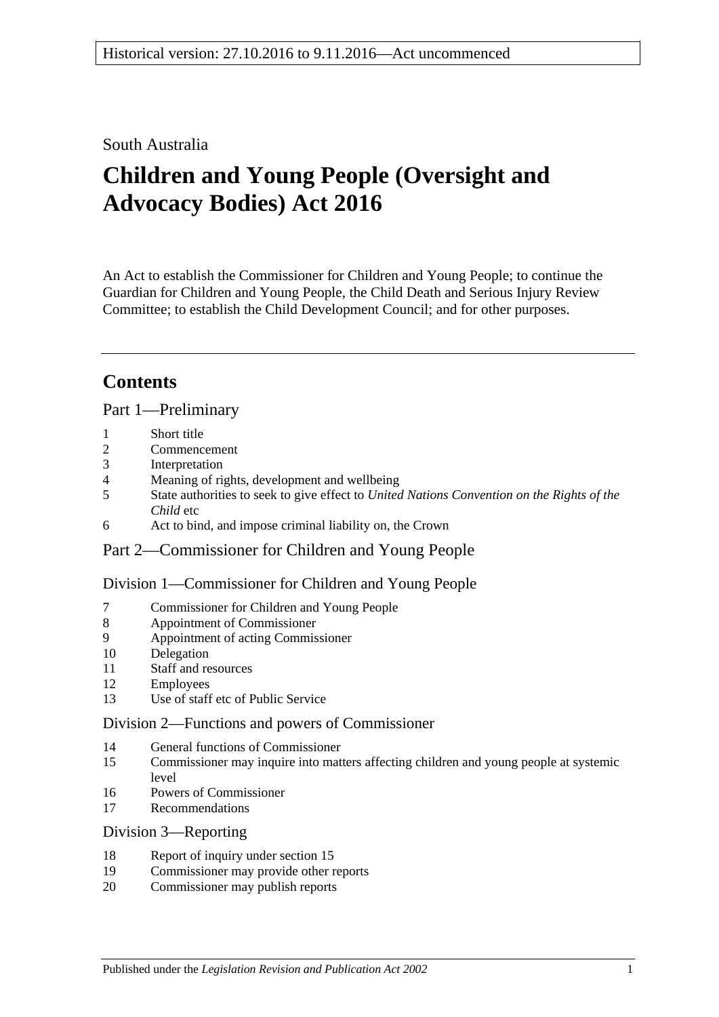## South Australia

# **Children and Young People (Oversight and Advocacy Bodies) Act 2016**

An Act to establish the Commissioner for Children and Young People; to continue the Guardian for Children and Young People, the Child Death and Serious Injury Review Committee; to establish the Child Development Council; and for other purposes.

# **Contents**

Part [1—Preliminary](#page-3-0)

- 1 [Short title](#page-3-1)
- 2 [Commencement](#page-3-2)
- 3 [Interpretation](#page-3-3)
- 4 [Meaning of rights, development and wellbeing](#page-4-0)
- 5 State authorities to seek to give effect to *[United Nations Convention on the Rights of the](#page-4-1)  [Child](#page-4-1)* etc
- 6 [Act to bind, and impose criminal liability on, the Crown](#page-4-2)

## Part [2—Commissioner for Children and Young People](#page-4-3)

### Division [1—Commissioner for Children and Young People](#page-4-4)

- 7 [Commissioner for Children and Young People](#page-4-5)
- 8 [Appointment of Commissioner](#page-5-0)
- 9 [Appointment of acting Commissioner](#page-6-0)
- 10 [Delegation](#page-6-1)
- 11 [Staff and resources](#page-7-0)
- 12 [Employees](#page-7-1)
- 13 [Use of staff etc of Public Service](#page-7-2)

## Division [2—Functions and powers of Commissioner](#page-7-3)

- 14 [General functions of Commissioner](#page-7-4)
- 15 [Commissioner may inquire into matters affecting children and young people at systemic](#page-8-0)  [level](#page-8-0)
- 16 [Powers of Commissioner](#page-9-0)
- 17 [Recommendations](#page-9-1)

### Division [3—Reporting](#page-10-0)

- 18 [Report of inquiry under section](#page-10-1) 15
- 19 [Commissioner may provide other reports](#page-10-2)
- 20 [Commissioner may publish reports](#page-11-0)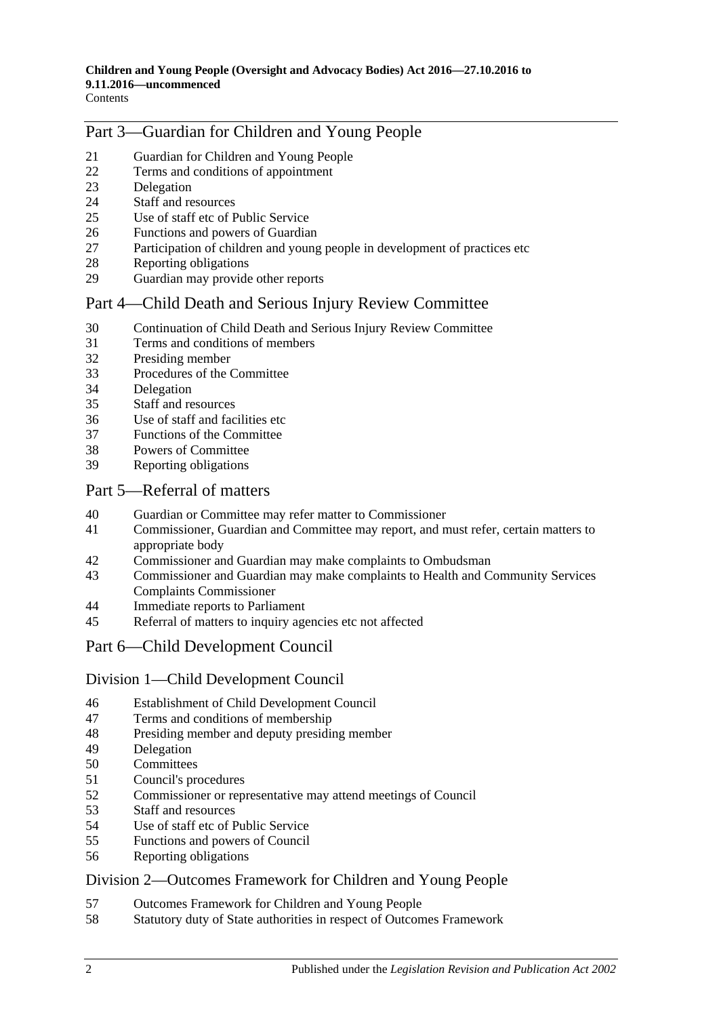## Part [3—Guardian for Children and Young People](#page-11-1)

- [Guardian for Children and Young People](#page-11-2)<br>22 Terms and conditions of appointment
- [Terms and conditions of appointment](#page-11-3)
- [Delegation](#page-12-0)
- [Staff and resources](#page-12-1)
- [Use of staff etc of Public Service](#page-12-2)
- [Functions and powers of Guardian](#page-12-3)
- [Participation of children and young people in development of practices etc](#page-13-0)
- [Reporting obligations](#page-13-1)
- [Guardian may provide other reports](#page-14-0)

## Part [4—Child Death and Serious Injury Review Committee](#page-14-1)

- [Continuation of Child Death and Serious Injury Review Committee](#page-14-2)
- [Terms and conditions of members](#page-14-3)
- [Presiding member](#page-15-0)
- [Procedures of the Committee](#page-15-1)
- [Delegation](#page-15-2)
- [Staff and resources](#page-16-0)
- [Use of staff and facilities etc](#page-16-1)
- [Functions of the Committee](#page-16-2)
- [Powers of Committee](#page-17-0)
- [Reporting obligations](#page-17-1)

### Part [5—Referral of matters](#page-18-0)

- [Guardian or Committee may refer matter to Commissioner](#page-18-1)
- [Commissioner, Guardian and Committee may report, and must refer, certain matters to](#page-18-2)  [appropriate body](#page-18-2)
- [Commissioner and Guardian may make complaints to Ombudsman](#page-18-3)
- [Commissioner and Guardian may make complaints to Health and Community Services](#page-19-0)  [Complaints Commissioner](#page-19-0)
- [Immediate reports to Parliament](#page-19-1)
- [Referral of matters to inquiry agencies etc not affected](#page-20-0)

## Part [6—Child Development Council](#page-20-1)

### Division [1—Child Development Council](#page-20-2)

- [Establishment of Child Development Council](#page-20-3)
- [Terms and conditions of membership](#page-20-4)
- [Presiding member and deputy presiding member](#page-21-0)
- [Delegation](#page-21-1)
- [Committees](#page-22-0)
- [Council's procedures](#page-22-1)
- [Commissioner or representative may attend meetings of Council](#page-23-0)
- [Staff and resources](#page-23-1)<br>54 Use of staff etc of F
- [Use of staff etc of Public Service](#page-23-2)
- [Functions and powers of Council](#page-23-3)
- [Reporting obligations](#page-24-0)

### Division [2—Outcomes Framework for Children and Young People](#page-24-1)

- [Outcomes Framework for Children and Young People](#page-24-2)
- [Statutory duty of State authorities in respect of Outcomes Framework](#page-25-0)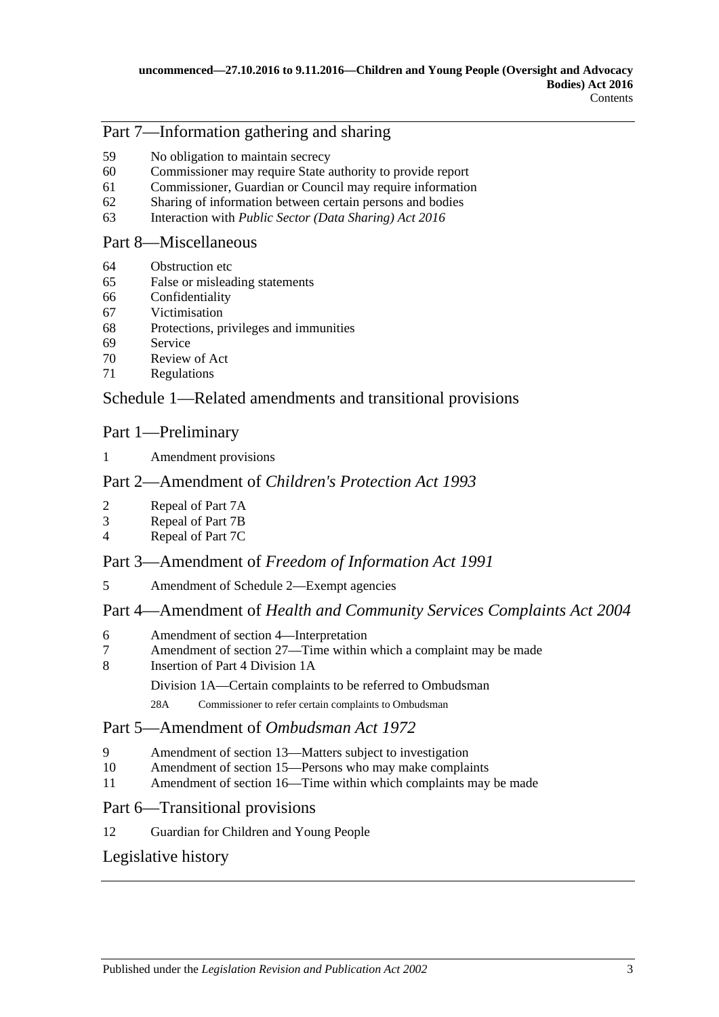## Part [7—Information gathering and sharing](#page-25-1)

- [No obligation to maintain secrecy](#page-25-2)
- [Commissioner may require State authority to provide report](#page-25-3)
- [Commissioner, Guardian or Council may require information](#page-26-0)
- [Sharing of information between certain persons and bodies](#page-26-1)
- Interaction with *[Public Sector \(Data Sharing\) Act](#page-27-0) 2016*

### Part [8—Miscellaneous](#page-27-1)

- [Obstruction etc](#page-27-2)
- [False or misleading statements](#page-28-0)
- [Confidentiality](#page-28-1)
- [Victimisation](#page-28-2)
- [Protections, privileges and immunities](#page-29-0)
- [Service](#page-30-0)
- [Review of Act](#page-30-1)
- [Regulations](#page-31-0)

## Schedule [1—Related amendments and transitional provisions](#page-31-1)

## Part 1—Preliminary

[Amendment provisions](#page-31-2)

## Part 2—Amendment of *Children's Protection Act 1993*

- [Repeal of Part 7A](#page-31-3)
- [Repeal of Part 7B](#page-32-0)
- [Repeal of Part 7C](#page-32-1)

## Part 3—Amendment of *Freedom of Information Act 1991*

[Amendment of Schedule 2—Exempt agencies](#page-32-2)

## Part 4—Amendment of *Health and Community Services Complaints Act 2004*

- [Amendment of section 4—Interpretation](#page-32-3)
- [Amendment of section 27—Time within which a complaint may be made](#page-32-4)
- [Insertion of Part 4 Division 1A](#page-33-0)

Division 1A—Certain complaints to be referred to Ombudsman

28A Commissioner to refer certain complaints to Ombudsman

## Part 5—Amendment of *Ombudsman Act 1972*

- [Amendment of section 13—Matters subject to investigation](#page-34-0)
- [Amendment of section 15—Persons who may make complaints](#page-35-0)
- [Amendment of section 16—Time within which complaints may be made](#page-35-1)

### Part 6—Transitional provisions

[Guardian for Children and Young People](#page-35-2)

## [Legislative history](#page-36-0)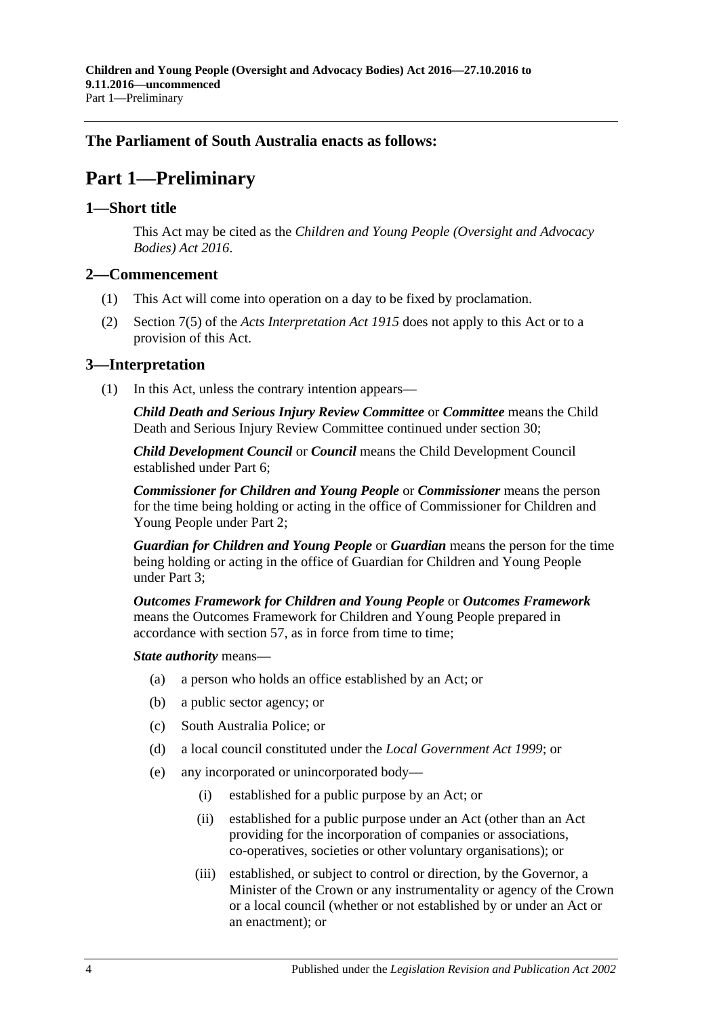## <span id="page-3-0"></span>**The Parliament of South Australia enacts as follows:**

# **Part 1—Preliminary**

### <span id="page-3-1"></span>**1—Short title**

This Act may be cited as the *Children and Young People (Oversight and Advocacy Bodies) Act 2016*.

### <span id="page-3-2"></span>**2—Commencement**

- (1) This Act will come into operation on a day to be fixed by proclamation.
- (2) Section 7(5) of the *[Acts Interpretation Act](http://www.legislation.sa.gov.au/index.aspx?action=legref&type=act&legtitle=Acts%20Interpretation%20Act%201915) 1915* does not apply to this Act or to a provision of this Act.

### <span id="page-3-3"></span>**3—Interpretation**

(1) In this Act, unless the contrary intention appears—

*Child Death and Serious Injury Review Committee* or *Committee* means the Child Death and Serious Injury Review Committee continued under [section](#page-14-2) 30;

*Child Development Council* or *Council* means the Child Development Council established under [Part](#page-20-1) 6;

*Commissioner for Children and Young People* or *Commissioner* means the person for the time being holding or acting in the office of Commissioner for Children and Young People under [Part](#page-4-3) 2;

*Guardian for Children and Young People* or *Guardian* means the person for the time being holding or acting in the office of Guardian for Children and Young People under [Part](#page-11-1) 3;

*Outcomes Framework for Children and Young People* or *Outcomes Framework* means the Outcomes Framework for Children and Young People prepared in accordance with [section](#page-24-2) 57, as in force from time to time;

### *State authority* means—

- (a) a person who holds an office established by an Act; or
- (b) a public sector agency; or
- (c) South Australia Police; or
- (d) a local council constituted under the *[Local Government Act](http://www.legislation.sa.gov.au/index.aspx?action=legref&type=act&legtitle=Local%20Government%20Act%201999) 1999*; or
- (e) any incorporated or unincorporated body—
	- (i) established for a public purpose by an Act; or
	- (ii) established for a public purpose under an Act (other than an Act providing for the incorporation of companies or associations, co-operatives, societies or other voluntary organisations); or
	- (iii) established, or subject to control or direction, by the Governor, a Minister of the Crown or any instrumentality or agency of the Crown or a local council (whether or not established by or under an Act or an enactment); or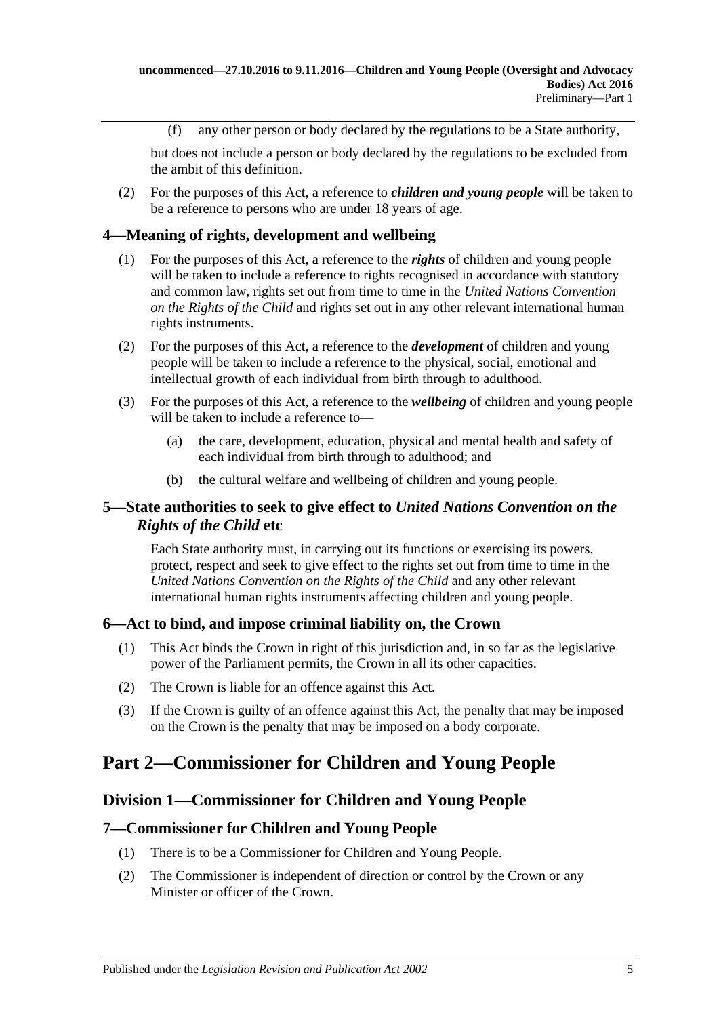(f) any other person or body declared by the regulations to be a State authority,

but does not include a person or body declared by the regulations to be excluded from the ambit of this definition.

(2) For the purposes of this Act, a reference to *children and young people* will be taken to be a reference to persons who are under 18 years of age.

## <span id="page-4-0"></span>**4—Meaning of rights, development and wellbeing**

- (1) For the purposes of this Act, a reference to the *rights* of children and young people will be taken to include a reference to rights recognised in accordance with statutory and common law, rights set out from time to time in the *United Nations Convention on the Rights of the Child* and rights set out in any other relevant international human rights instruments.
- (2) For the purposes of this Act, a reference to the *development* of children and young people will be taken to include a reference to the physical, social, emotional and intellectual growth of each individual from birth through to adulthood.
- (3) For the purposes of this Act, a reference to the *wellbeing* of children and young people will be taken to include a reference to—
	- (a) the care, development, education, physical and mental health and safety of each individual from birth through to adulthood; and
	- (b) the cultural welfare and wellbeing of children and young people.

### <span id="page-4-1"></span>**5—State authorities to seek to give effect to** *United Nations Convention on the Rights of the Child* **etc**

Each State authority must, in carrying out its functions or exercising its powers, protect, respect and seek to give effect to the rights set out from time to time in the *United Nations Convention on the Rights of the Child* and any other relevant international human rights instruments affecting children and young people.

### <span id="page-4-2"></span>**6—Act to bind, and impose criminal liability on, the Crown**

- (1) This Act binds the Crown in right of this jurisdiction and, in so far as the legislative power of the Parliament permits, the Crown in all its other capacities.
- (2) The Crown is liable for an offence against this Act.
- (3) If the Crown is guilty of an offence against this Act, the penalty that may be imposed on the Crown is the penalty that may be imposed on a body corporate.

# <span id="page-4-4"></span><span id="page-4-3"></span>**Part 2—Commissioner for Children and Young People**

### **Division 1—Commissioner for Children and Young People**

### <span id="page-4-5"></span>**7—Commissioner for Children and Young People**

- (1) There is to be a Commissioner for Children and Young People.
- (2) The Commissioner is independent of direction or control by the Crown or any Minister or officer of the Crown.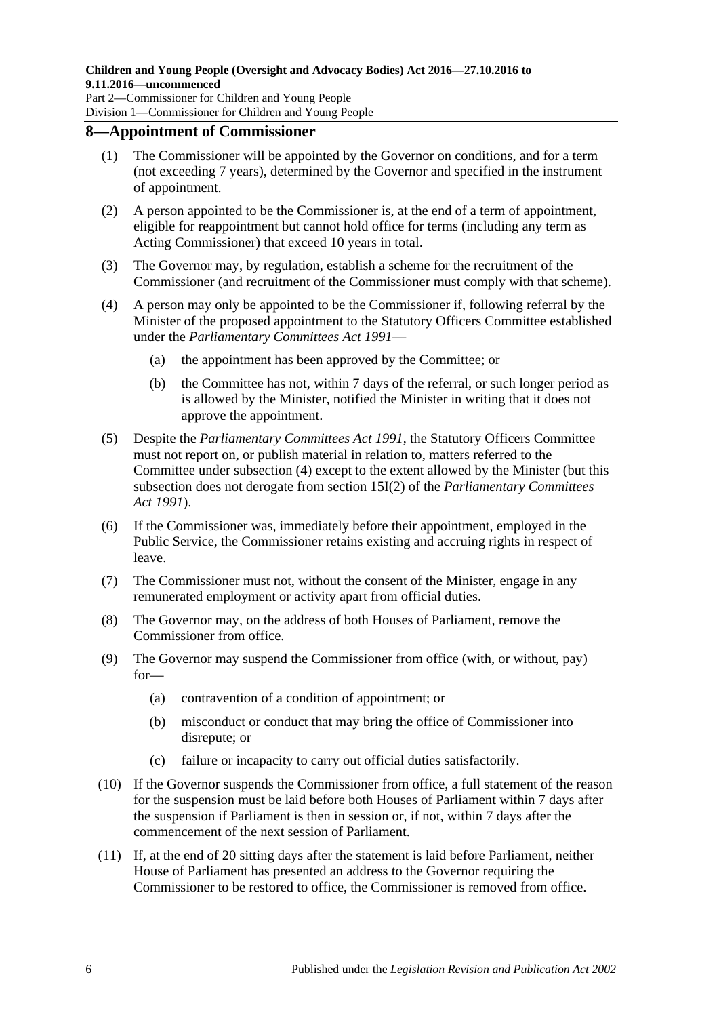Division 1—Commissioner for Children and Young People

### <span id="page-5-0"></span>**8—Appointment of Commissioner**

- (1) The Commissioner will be appointed by the Governor on conditions, and for a term (not exceeding 7 years), determined by the Governor and specified in the instrument of appointment.
- (2) A person appointed to be the Commissioner is, at the end of a term of appointment, eligible for reappointment but cannot hold office for terms (including any term as Acting Commissioner) that exceed 10 years in total.
- (3) The Governor may, by regulation, establish a scheme for the recruitment of the Commissioner (and recruitment of the Commissioner must comply with that scheme).
- <span id="page-5-1"></span>(4) A person may only be appointed to be the Commissioner if, following referral by the Minister of the proposed appointment to the Statutory Officers Committee established under the *[Parliamentary Committees Act](http://www.legislation.sa.gov.au/index.aspx?action=legref&type=act&legtitle=Parliamentary%20Committees%20Act%201991) 1991*—
	- (a) the appointment has been approved by the Committee; or
	- (b) the Committee has not, within 7 days of the referral, or such longer period as is allowed by the Minister, notified the Minister in writing that it does not approve the appointment.
- (5) Despite the *[Parliamentary Committees Act](http://www.legislation.sa.gov.au/index.aspx?action=legref&type=act&legtitle=Parliamentary%20Committees%20Act%201991) 1991*, the Statutory Officers Committee must not report on, or publish material in relation to, matters referred to the Committee under [subsection](#page-5-1) (4) except to the extent allowed by the Minister (but this subsection does not derogate from section 15I(2) of the *[Parliamentary Committees](http://www.legislation.sa.gov.au/index.aspx?action=legref&type=act&legtitle=Parliamentary%20Committees%20Act%201991)  Act [1991](http://www.legislation.sa.gov.au/index.aspx?action=legref&type=act&legtitle=Parliamentary%20Committees%20Act%201991)*).
- (6) If the Commissioner was, immediately before their appointment, employed in the Public Service, the Commissioner retains existing and accruing rights in respect of leave.
- (7) The Commissioner must not, without the consent of the Minister, engage in any remunerated employment or activity apart from official duties.
- (8) The Governor may, on the address of both Houses of Parliament, remove the Commissioner from office.
- (9) The Governor may suspend the Commissioner from office (with, or without, pay) for—
	- (a) contravention of a condition of appointment; or
	- (b) misconduct or conduct that may bring the office of Commissioner into disrepute; or
	- (c) failure or incapacity to carry out official duties satisfactorily.
- (10) If the Governor suspends the Commissioner from office, a full statement of the reason for the suspension must be laid before both Houses of Parliament within 7 days after the suspension if Parliament is then in session or, if not, within 7 days after the commencement of the next session of Parliament.
- (11) If, at the end of 20 sitting days after the statement is laid before Parliament, neither House of Parliament has presented an address to the Governor requiring the Commissioner to be restored to office, the Commissioner is removed from office.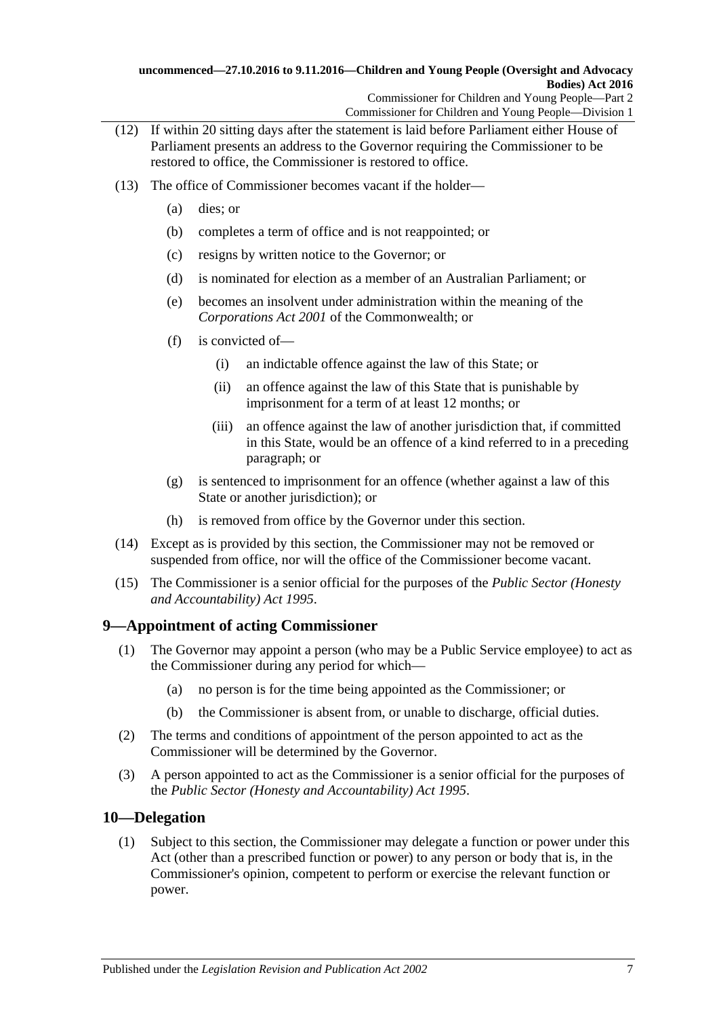- (12) If within 20 sitting days after the statement is laid before Parliament either House of Parliament presents an address to the Governor requiring the Commissioner to be restored to office, the Commissioner is restored to office.
- (13) The office of Commissioner becomes vacant if the holder—
	- (a) dies; or
	- (b) completes a term of office and is not reappointed; or
	- (c) resigns by written notice to the Governor; or
	- (d) is nominated for election as a member of an Australian Parliament; or
	- (e) becomes an insolvent under administration within the meaning of the *Corporations Act 2001* of the Commonwealth; or
	- (f) is convicted of—
		- (i) an indictable offence against the law of this State; or
		- (ii) an offence against the law of this State that is punishable by imprisonment for a term of at least 12 months; or
		- (iii) an offence against the law of another jurisdiction that, if committed in this State, would be an offence of a kind referred to in a preceding paragraph; or
	- (g) is sentenced to imprisonment for an offence (whether against a law of this State or another jurisdiction); or
	- (h) is removed from office by the Governor under this section.
- (14) Except as is provided by this section, the Commissioner may not be removed or suspended from office, nor will the office of the Commissioner become vacant.
- (15) The Commissioner is a senior official for the purposes of the *[Public Sector \(Honesty](http://www.legislation.sa.gov.au/index.aspx?action=legref&type=act&legtitle=Public%20Sector%20(Honesty%20and%20Accountability)%20Act%201995)  [and Accountability\) Act](http://www.legislation.sa.gov.au/index.aspx?action=legref&type=act&legtitle=Public%20Sector%20(Honesty%20and%20Accountability)%20Act%201995) 1995*.

## <span id="page-6-0"></span>**9—Appointment of acting Commissioner**

- (1) The Governor may appoint a person (who may be a Public Service employee) to act as the Commissioner during any period for which—
	- (a) no person is for the time being appointed as the Commissioner; or
	- (b) the Commissioner is absent from, or unable to discharge, official duties.
- (2) The terms and conditions of appointment of the person appointed to act as the Commissioner will be determined by the Governor.
- (3) A person appointed to act as the Commissioner is a senior official for the purposes of the *[Public Sector \(Honesty and Accountability\) Act](http://www.legislation.sa.gov.au/index.aspx?action=legref&type=act&legtitle=Public%20Sector%20(Honesty%20and%20Accountability)%20Act%201995) 1995*.

### <span id="page-6-1"></span>**10—Delegation**

(1) Subject to this section, the Commissioner may delegate a function or power under this Act (other than a prescribed function or power) to any person or body that is, in the Commissioner's opinion, competent to perform or exercise the relevant function or power.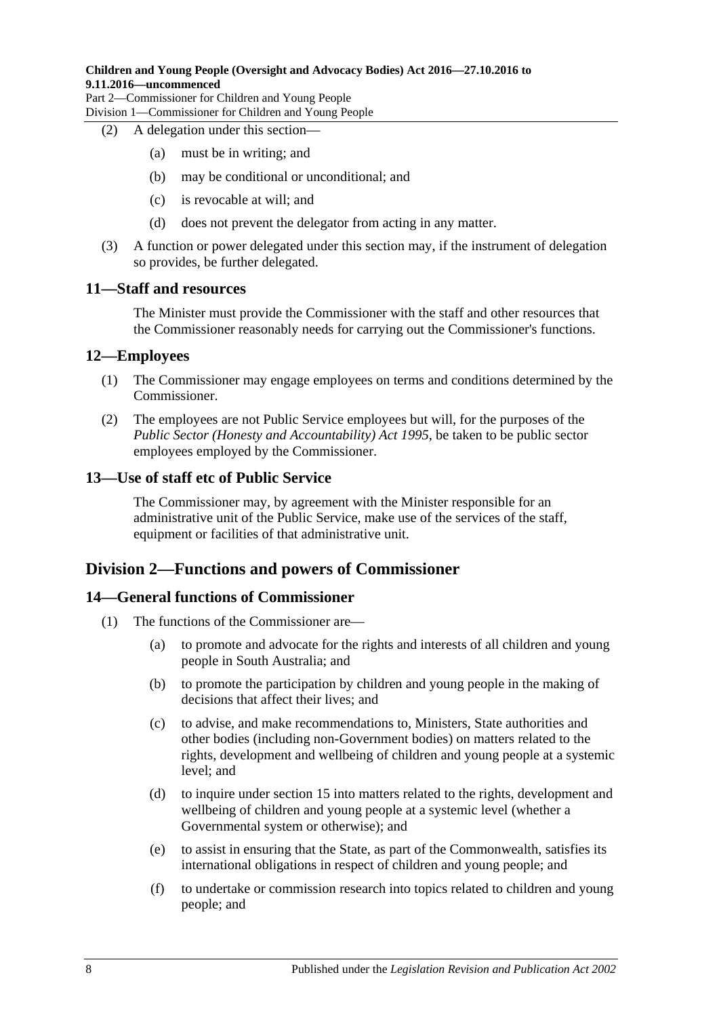### **Children and Young People (Oversight and Advocacy Bodies) Act 2016—27.10.2016 to 9.11.2016—uncommenced**

Part 2—Commissioner for Children and Young People Division 1—Commissioner for Children and Young People

### (2) A delegation under this section—

- (a) must be in writing; and
- (b) may be conditional or unconditional; and
- (c) is revocable at will; and
- (d) does not prevent the delegator from acting in any matter.
- (3) A function or power delegated under this section may, if the instrument of delegation so provides, be further delegated.

### <span id="page-7-0"></span>**11—Staff and resources**

The Minister must provide the Commissioner with the staff and other resources that the Commissioner reasonably needs for carrying out the Commissioner's functions.

### <span id="page-7-1"></span>**12—Employees**

- (1) The Commissioner may engage employees on terms and conditions determined by the Commissioner.
- (2) The employees are not Public Service employees but will, for the purposes of the *[Public Sector \(Honesty and Accountability\) Act](http://www.legislation.sa.gov.au/index.aspx?action=legref&type=act&legtitle=Public%20Sector%20(Honesty%20and%20Accountability)%20Act%201995) 1995*, be taken to be public sector employees employed by the Commissioner.

### <span id="page-7-2"></span>**13—Use of staff etc of Public Service**

The Commissioner may, by agreement with the Minister responsible for an administrative unit of the Public Service, make use of the services of the staff, equipment or facilities of that administrative unit.

## <span id="page-7-3"></span>**Division 2—Functions and powers of Commissioner**

### <span id="page-7-4"></span>**14—General functions of Commissioner**

- (1) The functions of the Commissioner are—
	- (a) to promote and advocate for the rights and interests of all children and young people in South Australia; and
	- (b) to promote the participation by children and young people in the making of decisions that affect their lives; and
	- (c) to advise, and make recommendations to, Ministers, State authorities and other bodies (including non-Government bodies) on matters related to the rights, development and wellbeing of children and young people at a systemic level; and
	- (d) to inquire under [section](#page-8-0) 15 into matters related to the rights, development and wellbeing of children and young people at a systemic level (whether a Governmental system or otherwise); and
	- (e) to assist in ensuring that the State, as part of the Commonwealth, satisfies its international obligations in respect of children and young people; and
	- (f) to undertake or commission research into topics related to children and young people; and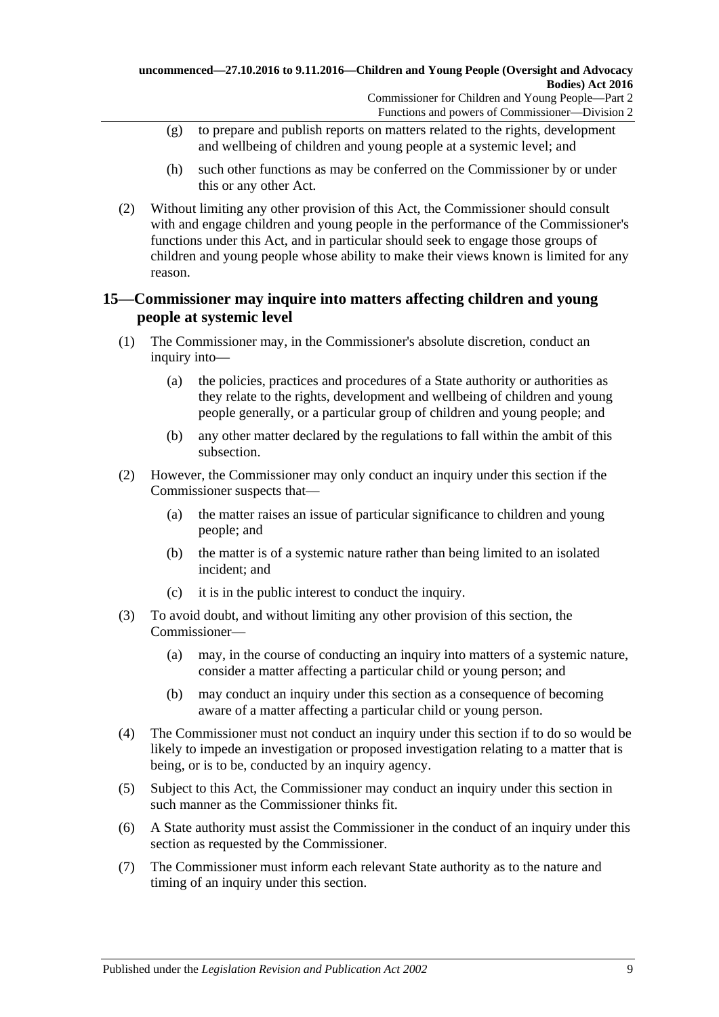- (g) to prepare and publish reports on matters related to the rights, development and wellbeing of children and young people at a systemic level; and
- (h) such other functions as may be conferred on the Commissioner by or under this or any other Act.
- (2) Without limiting any other provision of this Act, the Commissioner should consult with and engage children and young people in the performance of the Commissioner's functions under this Act, and in particular should seek to engage those groups of children and young people whose ability to make their views known is limited for any reason.

## <span id="page-8-0"></span>**15—Commissioner may inquire into matters affecting children and young people at systemic level**

- (1) The Commissioner may, in the Commissioner's absolute discretion, conduct an inquiry into—
	- (a) the policies, practices and procedures of a State authority or authorities as they relate to the rights, development and wellbeing of children and young people generally, or a particular group of children and young people; and
	- (b) any other matter declared by the regulations to fall within the ambit of this subsection.
- (2) However, the Commissioner may only conduct an inquiry under this section if the Commissioner suspects that—
	- (a) the matter raises an issue of particular significance to children and young people; and
	- (b) the matter is of a systemic nature rather than being limited to an isolated incident; and
	- (c) it is in the public interest to conduct the inquiry.
- (3) To avoid doubt, and without limiting any other provision of this section, the Commissioner—
	- (a) may, in the course of conducting an inquiry into matters of a systemic nature, consider a matter affecting a particular child or young person; and
	- (b) may conduct an inquiry under this section as a consequence of becoming aware of a matter affecting a particular child or young person.
- (4) The Commissioner must not conduct an inquiry under this section if to do so would be likely to impede an investigation or proposed investigation relating to a matter that is being, or is to be, conducted by an inquiry agency.
- (5) Subject to this Act, the Commissioner may conduct an inquiry under this section in such manner as the Commissioner thinks fit.
- (6) A State authority must assist the Commissioner in the conduct of an inquiry under this section as requested by the Commissioner.
- (7) The Commissioner must inform each relevant State authority as to the nature and timing of an inquiry under this section.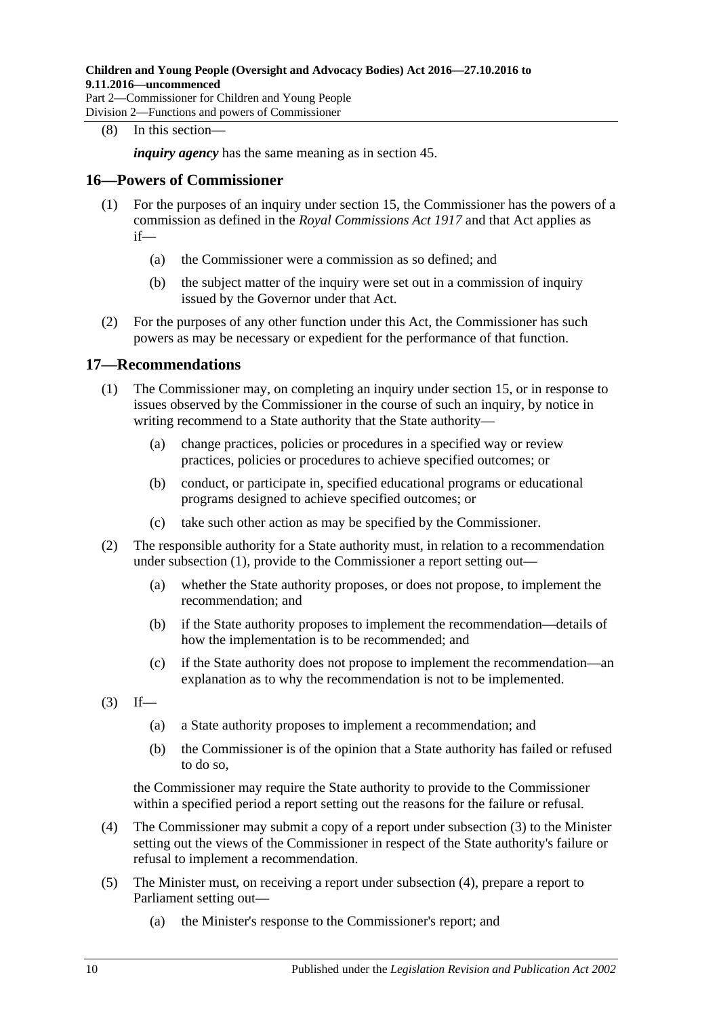### (8) In this section—

*inquiry agency* has the same meaning as in [section](#page-20-0) 45.

### <span id="page-9-0"></span>**16—Powers of Commissioner**

- (1) For the purposes of an inquiry under [section](#page-8-0) 15, the Commissioner has the powers of a commission as defined in the *[Royal Commissions Act](http://www.legislation.sa.gov.au/index.aspx?action=legref&type=act&legtitle=Royal%20Commissions%20Act%201917) 1917* and that Act applies as if—
	- (a) the Commissioner were a commission as so defined; and
	- (b) the subject matter of the inquiry were set out in a commission of inquiry issued by the Governor under that Act.
- (2) For the purposes of any other function under this Act, the Commissioner has such powers as may be necessary or expedient for the performance of that function.

### <span id="page-9-2"></span><span id="page-9-1"></span>**17—Recommendations**

- (1) The Commissioner may, on completing an inquiry under [section](#page-8-0) 15, or in response to issues observed by the Commissioner in the course of such an inquiry, by notice in writing recommend to a State authority that the State authority—
	- (a) change practices, policies or procedures in a specified way or review practices, policies or procedures to achieve specified outcomes; or
	- (b) conduct, or participate in, specified educational programs or educational programs designed to achieve specified outcomes; or
	- (c) take such other action as may be specified by the Commissioner.
- (2) The responsible authority for a State authority must, in relation to a recommendation under [subsection](#page-9-2) (1), provide to the Commissioner a report setting out—
	- (a) whether the State authority proposes, or does not propose, to implement the recommendation; and
	- (b) if the State authority proposes to implement the recommendation—details of how the implementation is to be recommended; and
	- (c) if the State authority does not propose to implement the recommendation—an explanation as to why the recommendation is not to be implemented.
- <span id="page-9-3"></span> $(3)$  If—
	- (a) a State authority proposes to implement a recommendation; and
	- (b) the Commissioner is of the opinion that a State authority has failed or refused to do so,

the Commissioner may require the State authority to provide to the Commissioner within a specified period a report setting out the reasons for the failure or refusal.

- <span id="page-9-4"></span>(4) The Commissioner may submit a copy of a report under [subsection](#page-9-3) (3) to the Minister setting out the views of the Commissioner in respect of the State authority's failure or refusal to implement a recommendation.
- <span id="page-9-5"></span>(5) The Minister must, on receiving a report under [subsection](#page-9-4) (4), prepare a report to Parliament setting out—
	- (a) the Minister's response to the Commissioner's report; and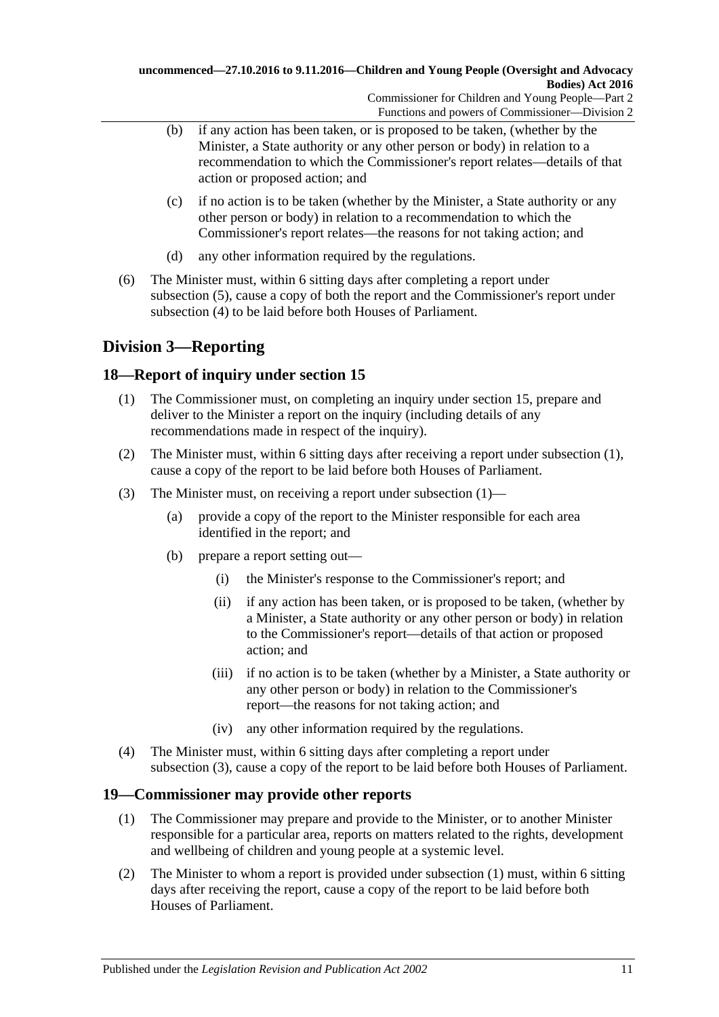- (b) if any action has been taken, or is proposed to be taken, (whether by the Minister, a State authority or any other person or body) in relation to a recommendation to which the Commissioner's report relates—details of that action or proposed action; and
- (c) if no action is to be taken (whether by the Minister, a State authority or any other person or body) in relation to a recommendation to which the Commissioner's report relates—the reasons for not taking action; and
- (d) any other information required by the regulations.
- (6) The Minister must, within 6 sitting days after completing a report under [subsection](#page-9-5) (5), cause a copy of both the report and the Commissioner's report under [subsection](#page-9-4) (4) to be laid before both Houses of Parliament.

## <span id="page-10-0"></span>**Division 3—Reporting**

## <span id="page-10-3"></span><span id="page-10-1"></span>**18—Report of inquiry under [section](#page-8-0) 15**

- (1) The Commissioner must, on completing an inquiry under [section](#page-8-0) 15, prepare and deliver to the Minister a report on the inquiry (including details of any recommendations made in respect of the inquiry).
- (2) The Minister must, within 6 sitting days after receiving a report under [subsection](#page-10-3) (1), cause a copy of the report to be laid before both Houses of Parliament.
- <span id="page-10-4"></span>(3) The Minister must, on receiving a report under [subsection](#page-10-3) (1)—
	- (a) provide a copy of the report to the Minister responsible for each area identified in the report; and
	- (b) prepare a report setting out—
		- (i) the Minister's response to the Commissioner's report; and
		- (ii) if any action has been taken, or is proposed to be taken, (whether by a Minister, a State authority or any other person or body) in relation to the Commissioner's report—details of that action or proposed action; and
		- (iii) if no action is to be taken (whether by a Minister, a State authority or any other person or body) in relation to the Commissioner's report—the reasons for not taking action; and
		- (iv) any other information required by the regulations.
- (4) The Minister must, within 6 sitting days after completing a report under [subsection](#page-10-4) (3), cause a copy of the report to be laid before both Houses of Parliament.

## <span id="page-10-5"></span><span id="page-10-2"></span>**19—Commissioner may provide other reports**

- (1) The Commissioner may prepare and provide to the Minister, or to another Minister responsible for a particular area, reports on matters related to the rights, development and wellbeing of children and young people at a systemic level.
- (2) The Minister to whom a report is provided under [subsection](#page-10-5) (1) must, within 6 sitting days after receiving the report, cause a copy of the report to be laid before both Houses of Parliament.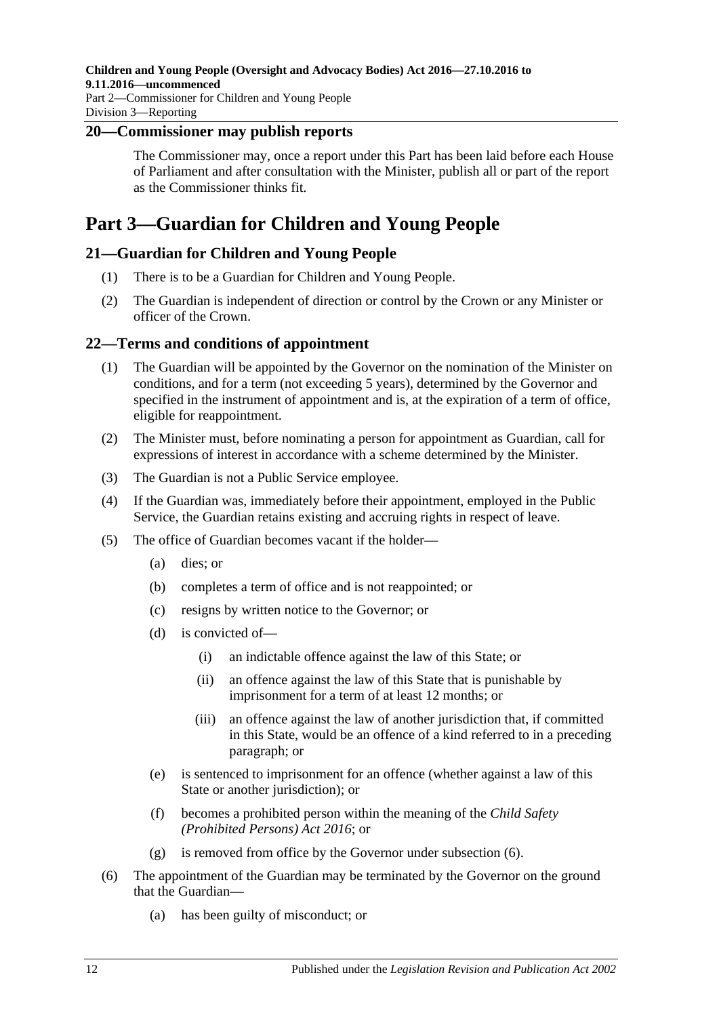### <span id="page-11-0"></span>**20—Commissioner may publish reports**

The Commissioner may, once a report under this Part has been laid before each House of Parliament and after consultation with the Minister, publish all or part of the report as the Commissioner thinks fit.

# <span id="page-11-1"></span>**Part 3—Guardian for Children and Young People**

## <span id="page-11-2"></span>**21—Guardian for Children and Young People**

- (1) There is to be a Guardian for Children and Young People.
- (2) The Guardian is independent of direction or control by the Crown or any Minister or officer of the Crown.

### <span id="page-11-3"></span>**22—Terms and conditions of appointment**

- (1) The Guardian will be appointed by the Governor on the nomination of the Minister on conditions, and for a term (not exceeding 5 years), determined by the Governor and specified in the instrument of appointment and is, at the expiration of a term of office, eligible for reappointment.
- (2) The Minister must, before nominating a person for appointment as Guardian, call for expressions of interest in accordance with a scheme determined by the Minister.
- (3) The Guardian is not a Public Service employee.
- (4) If the Guardian was, immediately before their appointment, employed in the Public Service, the Guardian retains existing and accruing rights in respect of leave.
- (5) The office of Guardian becomes vacant if the holder—
	- (a) dies; or
	- (b) completes a term of office and is not reappointed; or
	- (c) resigns by written notice to the Governor; or
	- (d) is convicted of—
		- (i) an indictable offence against the law of this State; or
		- (ii) an offence against the law of this State that is punishable by imprisonment for a term of at least 12 months; or
		- (iii) an offence against the law of another jurisdiction that, if committed in this State, would be an offence of a kind referred to in a preceding paragraph; or
	- (e) is sentenced to imprisonment for an offence (whether against a law of this State or another jurisdiction); or
	- (f) becomes a prohibited person within the meaning of the *[Child Safety](http://www.legislation.sa.gov.au/index.aspx?action=legref&type=act&legtitle=Child%20Safety%20(Prohibited%20Persons)%20Act%202016)  [\(Prohibited Persons\) Act](http://www.legislation.sa.gov.au/index.aspx?action=legref&type=act&legtitle=Child%20Safety%20(Prohibited%20Persons)%20Act%202016) 2016*; or
	- (g) is removed from office by the Governor under [subsection](#page-11-4) (6).
- <span id="page-11-4"></span>(6) The appointment of the Guardian may be terminated by the Governor on the ground that the Guardian—
	- (a) has been guilty of misconduct; or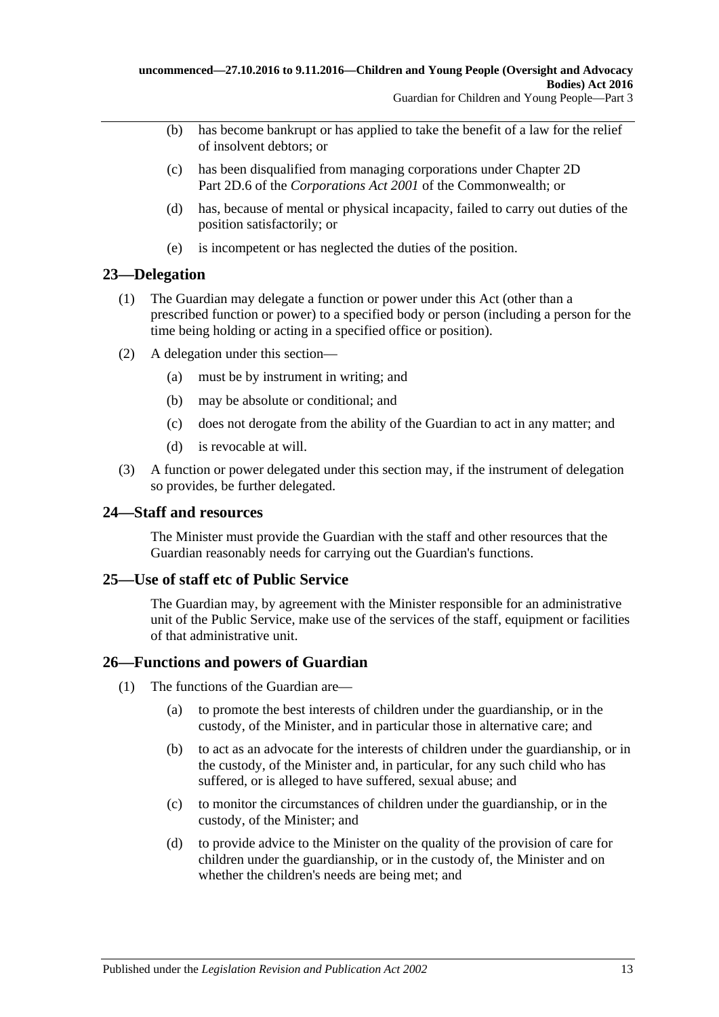- (b) has become bankrupt or has applied to take the benefit of a law for the relief of insolvent debtors; or
- (c) has been disqualified from managing corporations under Chapter 2D Part 2D.6 of the *Corporations Act 2001* of the Commonwealth; or
- (d) has, because of mental or physical incapacity, failed to carry out duties of the position satisfactorily; or
- (e) is incompetent or has neglected the duties of the position.

### <span id="page-12-0"></span>**23—Delegation**

- (1) The Guardian may delegate a function or power under this Act (other than a prescribed function or power) to a specified body or person (including a person for the time being holding or acting in a specified office or position).
- (2) A delegation under this section—
	- (a) must be by instrument in writing; and
	- (b) may be absolute or conditional; and
	- (c) does not derogate from the ability of the Guardian to act in any matter; and
	- (d) is revocable at will.
- (3) A function or power delegated under this section may, if the instrument of delegation so provides, be further delegated.

### <span id="page-12-1"></span>**24—Staff and resources**

The Minister must provide the Guardian with the staff and other resources that the Guardian reasonably needs for carrying out the Guardian's functions.

## <span id="page-12-2"></span>**25—Use of staff etc of Public Service**

The Guardian may, by agreement with the Minister responsible for an administrative unit of the Public Service, make use of the services of the staff, equipment or facilities of that administrative unit.

### <span id="page-12-3"></span>**26—Functions and powers of Guardian**

- (1) The functions of the Guardian are—
	- (a) to promote the best interests of children under the guardianship, or in the custody, of the Minister, and in particular those in alternative care; and
	- (b) to act as an advocate for the interests of children under the guardianship, or in the custody, of the Minister and, in particular, for any such child who has suffered, or is alleged to have suffered, sexual abuse; and
	- (c) to monitor the circumstances of children under the guardianship, or in the custody, of the Minister; and
	- (d) to provide advice to the Minister on the quality of the provision of care for children under the guardianship, or in the custody of, the Minister and on whether the children's needs are being met; and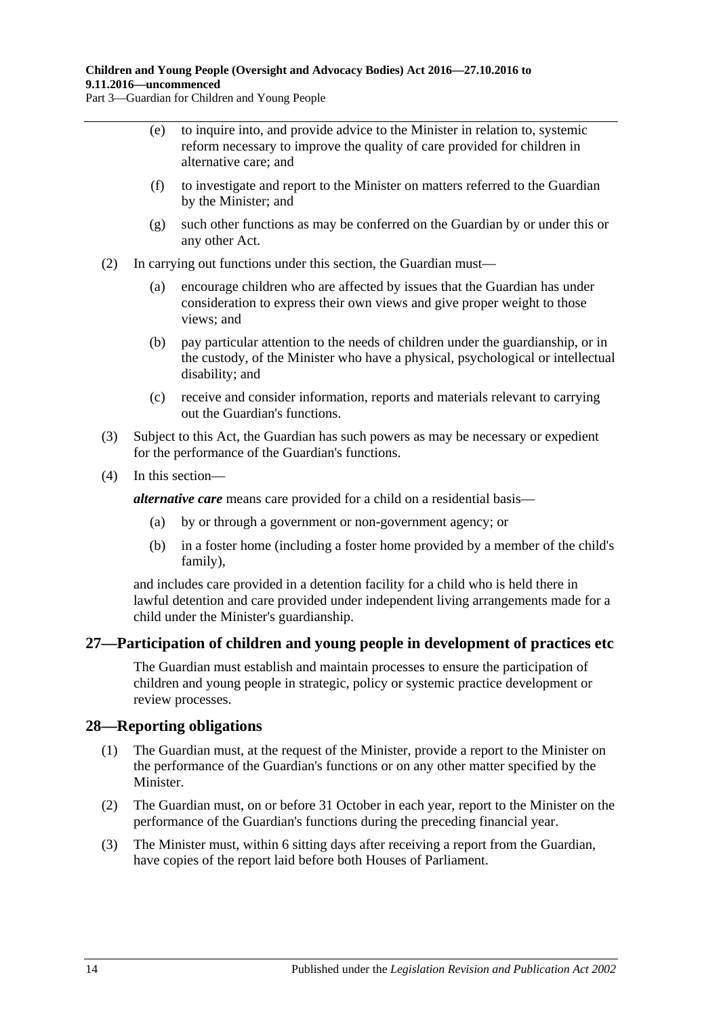### **Children and Young People (Oversight and Advocacy Bodies) Act 2016—27.10.2016 to 9.11.2016—uncommenced**

Part 3—Guardian for Children and Young People

- (e) to inquire into, and provide advice to the Minister in relation to, systemic reform necessary to improve the quality of care provided for children in alternative care; and
- (f) to investigate and report to the Minister on matters referred to the Guardian by the Minister; and
- (g) such other functions as may be conferred on the Guardian by or under this or any other Act.
- (2) In carrying out functions under this section, the Guardian must—
	- (a) encourage children who are affected by issues that the Guardian has under consideration to express their own views and give proper weight to those views; and
	- (b) pay particular attention to the needs of children under the guardianship, or in the custody, of the Minister who have a physical, psychological or intellectual disability; and
	- (c) receive and consider information, reports and materials relevant to carrying out the Guardian's functions.
- (3) Subject to this Act, the Guardian has such powers as may be necessary or expedient for the performance of the Guardian's functions.
- (4) In this section—

*alternative care* means care provided for a child on a residential basis—

- (a) by or through a government or non-government agency; or
- (b) in a foster home (including a foster home provided by a member of the child's family),

and includes care provided in a detention facility for a child who is held there in lawful detention and care provided under independent living arrangements made for a child under the Minister's guardianship.

### <span id="page-13-0"></span>**27—Participation of children and young people in development of practices etc**

The Guardian must establish and maintain processes to ensure the participation of children and young people in strategic, policy or systemic practice development or review processes.

### <span id="page-13-1"></span>**28—Reporting obligations**

- (1) The Guardian must, at the request of the Minister, provide a report to the Minister on the performance of the Guardian's functions or on any other matter specified by the Minister.
- (2) The Guardian must, on or before 31 October in each year, report to the Minister on the performance of the Guardian's functions during the preceding financial year.
- (3) The Minister must, within 6 sitting days after receiving a report from the Guardian, have copies of the report laid before both Houses of Parliament.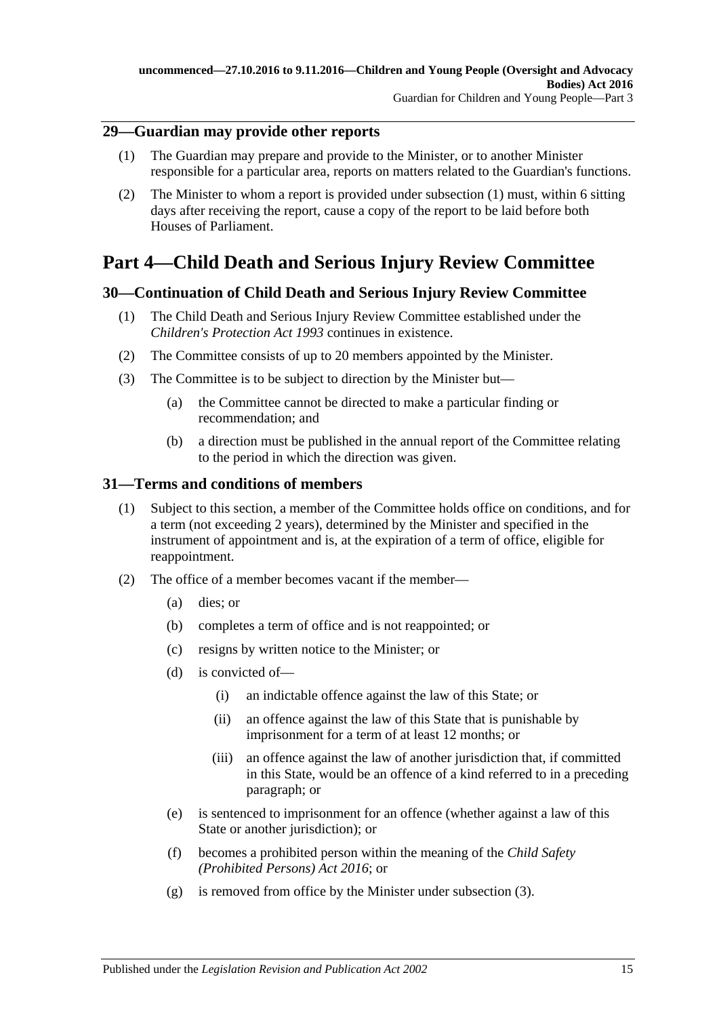## <span id="page-14-4"></span><span id="page-14-0"></span>**29—Guardian may provide other reports**

- (1) The Guardian may prepare and provide to the Minister, or to another Minister responsible for a particular area, reports on matters related to the Guardian's functions.
- (2) The Minister to whom a report is provided under [subsection](#page-14-4) (1) must, within 6 sitting days after receiving the report, cause a copy of the report to be laid before both Houses of Parliament.

# <span id="page-14-1"></span>**Part 4—Child Death and Serious Injury Review Committee**

## <span id="page-14-2"></span>**30—Continuation of Child Death and Serious Injury Review Committee**

- (1) The Child Death and Serious Injury Review Committee established under the *[Children's Protection Act](http://www.legislation.sa.gov.au/index.aspx?action=legref&type=act&legtitle=Childrens%20Protection%20Act%201993) 1993* continues in existence.
- (2) The Committee consists of up to 20 members appointed by the Minister.
- (3) The Committee is to be subject to direction by the Minister but—
	- (a) the Committee cannot be directed to make a particular finding or recommendation; and
	- (b) a direction must be published in the annual report of the Committee relating to the period in which the direction was given.

## <span id="page-14-3"></span>**31—Terms and conditions of members**

- (1) Subject to this section, a member of the Committee holds office on conditions, and for a term (not exceeding 2 years), determined by the Minister and specified in the instrument of appointment and is, at the expiration of a term of office, eligible for reappointment.
- (2) The office of a member becomes vacant if the member—
	- (a) dies; or
	- (b) completes a term of office and is not reappointed; or
	- (c) resigns by written notice to the Minister; or
	- (d) is convicted of—
		- (i) an indictable offence against the law of this State; or
		- (ii) an offence against the law of this State that is punishable by imprisonment for a term of at least 12 months; or
		- (iii) an offence against the law of another jurisdiction that, if committed in this State, would be an offence of a kind referred to in a preceding paragraph; or
	- (e) is sentenced to imprisonment for an offence (whether against a law of this State or another jurisdiction); or
	- (f) becomes a prohibited person within the meaning of the *[Child Safety](http://www.legislation.sa.gov.au/index.aspx?action=legref&type=act&legtitle=Child%20Safety%20(Prohibited%20Persons)%20Act%202016)  [\(Prohibited Persons\) Act 2016](http://www.legislation.sa.gov.au/index.aspx?action=legref&type=act&legtitle=Child%20Safety%20(Prohibited%20Persons)%20Act%202016)*; or
	- (g) is removed from office by the Minister under [subsection](#page-15-3) (3).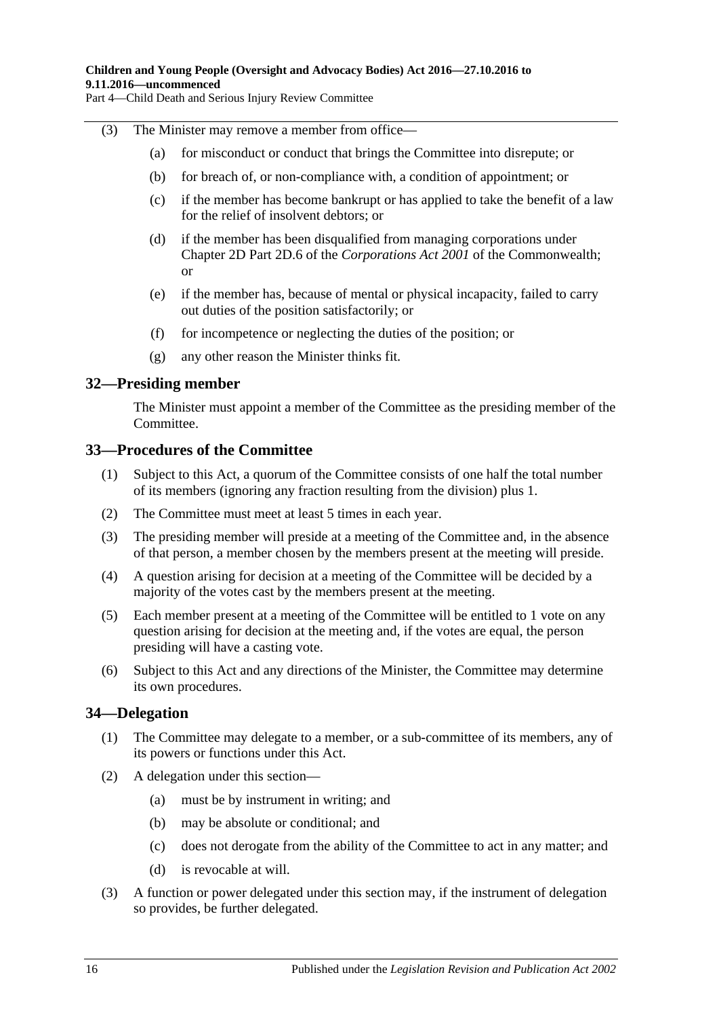Part 4—Child Death and Serious Injury Review Committee

#### <span id="page-15-3"></span>(3) The Minister may remove a member from office—

- (a) for misconduct or conduct that brings the Committee into disrepute; or
- (b) for breach of, or non-compliance with, a condition of appointment; or
- (c) if the member has become bankrupt or has applied to take the benefit of a law for the relief of insolvent debtors; or
- (d) if the member has been disqualified from managing corporations under Chapter 2D Part 2D.6 of the *Corporations Act 2001* of the Commonwealth; or
- (e) if the member has, because of mental or physical incapacity, failed to carry out duties of the position satisfactorily; or
- (f) for incompetence or neglecting the duties of the position; or
- (g) any other reason the Minister thinks fit.

### <span id="page-15-0"></span>**32—Presiding member**

The Minister must appoint a member of the Committee as the presiding member of the Committee.

### <span id="page-15-1"></span>**33—Procedures of the Committee**

- (1) Subject to this Act, a quorum of the Committee consists of one half the total number of its members (ignoring any fraction resulting from the division) plus 1.
- (2) The Committee must meet at least 5 times in each year.
- (3) The presiding member will preside at a meeting of the Committee and, in the absence of that person, a member chosen by the members present at the meeting will preside.
- (4) A question arising for decision at a meeting of the Committee will be decided by a majority of the votes cast by the members present at the meeting.
- (5) Each member present at a meeting of the Committee will be entitled to 1 vote on any question arising for decision at the meeting and, if the votes are equal, the person presiding will have a casting vote.
- (6) Subject to this Act and any directions of the Minister, the Committee may determine its own procedures.

### <span id="page-15-2"></span>**34—Delegation**

- (1) The Committee may delegate to a member, or a sub-committee of its members, any of its powers or functions under this Act.
- (2) A delegation under this section—
	- (a) must be by instrument in writing; and
	- (b) may be absolute or conditional; and
	- (c) does not derogate from the ability of the Committee to act in any matter; and
	- (d) is revocable at will.
- (3) A function or power delegated under this section may, if the instrument of delegation so provides, be further delegated.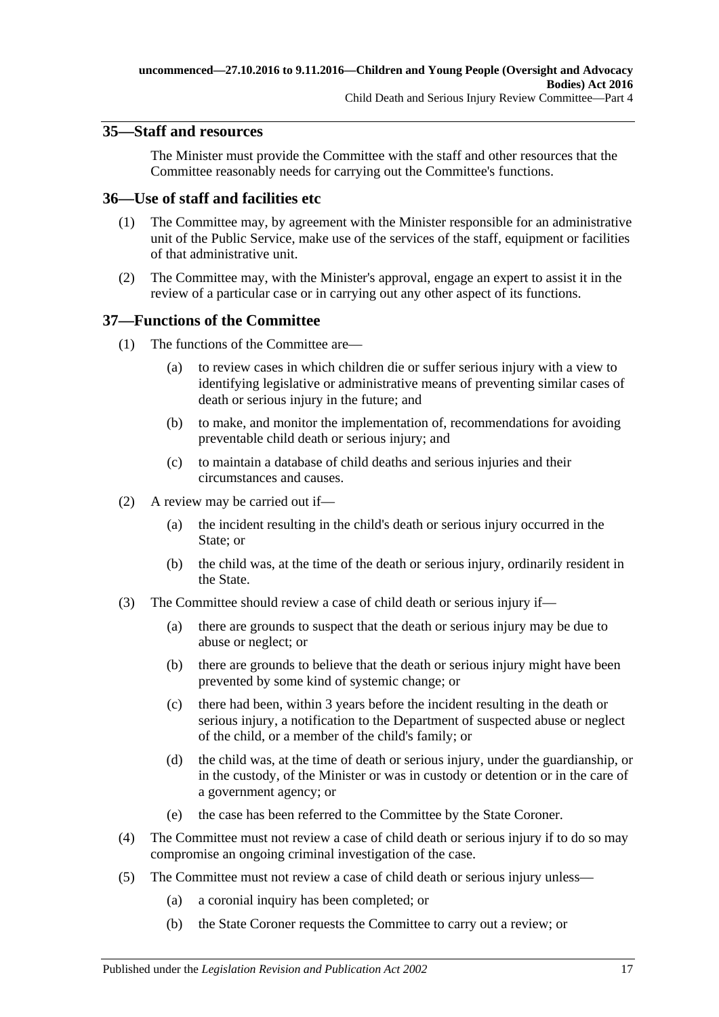## <span id="page-16-0"></span>**35—Staff and resources**

The Minister must provide the Committee with the staff and other resources that the Committee reasonably needs for carrying out the Committee's functions.

## <span id="page-16-1"></span>**36—Use of staff and facilities etc**

- (1) The Committee may, by agreement with the Minister responsible for an administrative unit of the Public Service, make use of the services of the staff, equipment or facilities of that administrative unit.
- (2) The Committee may, with the Minister's approval, engage an expert to assist it in the review of a particular case or in carrying out any other aspect of its functions.

### <span id="page-16-2"></span>**37—Functions of the Committee**

- (1) The functions of the Committee are—
	- (a) to review cases in which children die or suffer serious injury with a view to identifying legislative or administrative means of preventing similar cases of death or serious injury in the future; and
	- (b) to make, and monitor the implementation of, recommendations for avoiding preventable child death or serious injury; and
	- (c) to maintain a database of child deaths and serious injuries and their circumstances and causes.
- (2) A review may be carried out if—
	- (a) the incident resulting in the child's death or serious injury occurred in the State; or
	- (b) the child was, at the time of the death or serious injury, ordinarily resident in the State.
- (3) The Committee should review a case of child death or serious injury if—
	- (a) there are grounds to suspect that the death or serious injury may be due to abuse or neglect; or
	- (b) there are grounds to believe that the death or serious injury might have been prevented by some kind of systemic change; or
	- (c) there had been, within 3 years before the incident resulting in the death or serious injury, a notification to the Department of suspected abuse or neglect of the child, or a member of the child's family; or
	- (d) the child was, at the time of death or serious injury, under the guardianship, or in the custody, of the Minister or was in custody or detention or in the care of a government agency; or
	- (e) the case has been referred to the Committee by the State Coroner.
- (4) The Committee must not review a case of child death or serious injury if to do so may compromise an ongoing criminal investigation of the case.
- (5) The Committee must not review a case of child death or serious injury unless—
	- (a) a coronial inquiry has been completed; or
	- (b) the State Coroner requests the Committee to carry out a review; or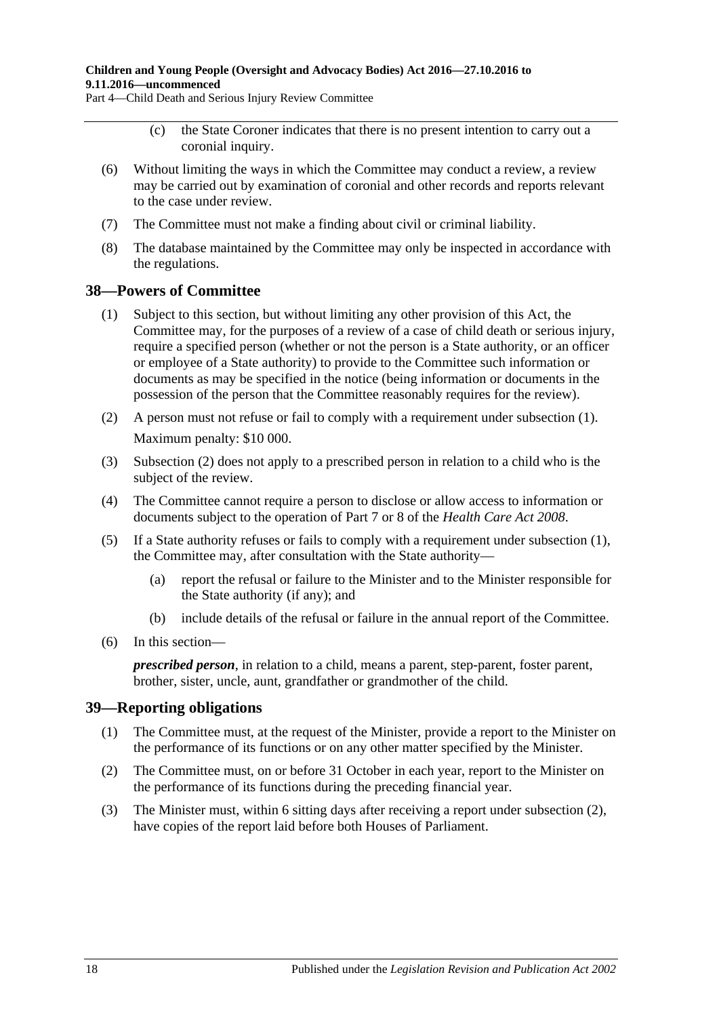#### **Children and Young People (Oversight and Advocacy Bodies) Act 2016—27.10.2016 to 9.11.2016—uncommenced**

Part 4—Child Death and Serious Injury Review Committee

- (c) the State Coroner indicates that there is no present intention to carry out a coronial inquiry.
- (6) Without limiting the ways in which the Committee may conduct a review, a review may be carried out by examination of coronial and other records and reports relevant to the case under review.
- (7) The Committee must not make a finding about civil or criminal liability.
- (8) The database maintained by the Committee may only be inspected in accordance with the regulations.

### <span id="page-17-2"></span><span id="page-17-0"></span>**38—Powers of Committee**

- (1) Subject to this section, but without limiting any other provision of this Act, the Committee may, for the purposes of a review of a case of child death or serious injury, require a specified person (whether or not the person is a State authority, or an officer or employee of a State authority) to provide to the Committee such information or documents as may be specified in the notice (being information or documents in the possession of the person that the Committee reasonably requires for the review).
- <span id="page-17-3"></span>(2) A person must not refuse or fail to comply with a requirement under [subsection](#page-17-2) (1). Maximum penalty: \$10 000.
- (3) [Subsection](#page-17-3) (2) does not apply to a prescribed person in relation to a child who is the subject of the review.
- (4) The Committee cannot require a person to disclose or allow access to information or documents subject to the operation of Part 7 or 8 of the *[Health Care Act](http://www.legislation.sa.gov.au/index.aspx?action=legref&type=act&legtitle=Health%20Care%20Act%202008) 2008*.
- (5) If a State authority refuses or fails to comply with a requirement under [subsection](#page-17-2) (1), the Committee may, after consultation with the State authority—
	- (a) report the refusal or failure to the Minister and to the Minister responsible for the State authority (if any); and
	- (b) include details of the refusal or failure in the annual report of the Committee.
- (6) In this section—

*prescribed person*, in relation to a child, means a parent, step-parent, foster parent, brother, sister, uncle, aunt, grandfather or grandmother of the child.

### <span id="page-17-1"></span>**39—Reporting obligations**

- (1) The Committee must, at the request of the Minister, provide a report to the Minister on the performance of its functions or on any other matter specified by the Minister.
- <span id="page-17-4"></span>(2) The Committee must, on or before 31 October in each year, report to the Minister on the performance of its functions during the preceding financial year.
- (3) The Minister must, within 6 sitting days after receiving a report under [subsection](#page-17-4) (2), have copies of the report laid before both Houses of Parliament.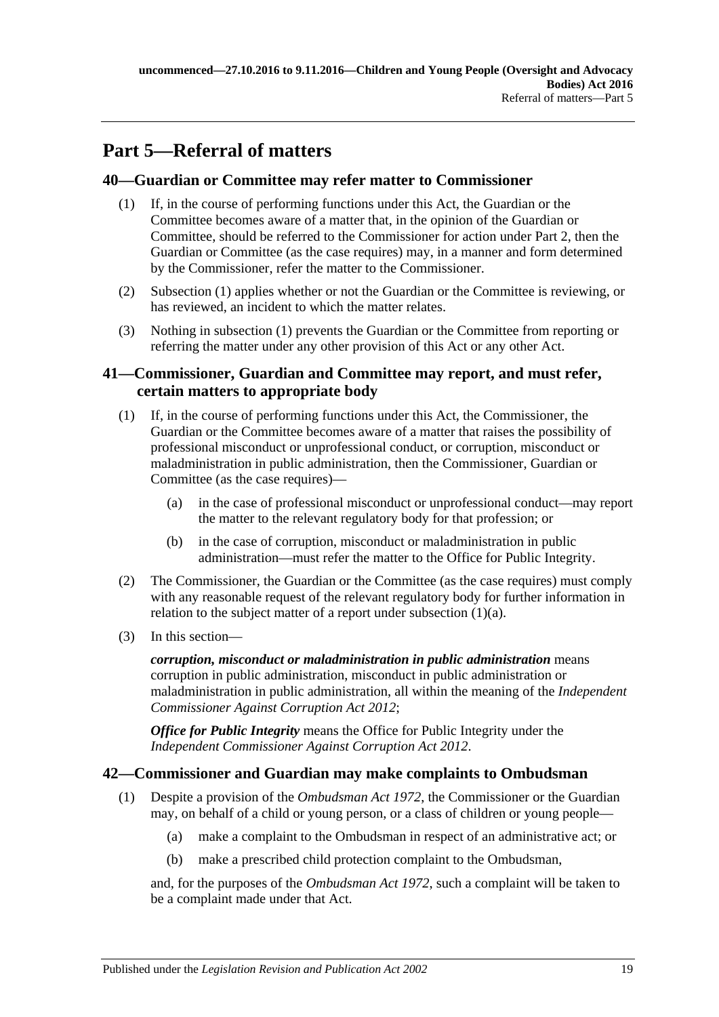# <span id="page-18-0"></span>**Part 5—Referral of matters**

## <span id="page-18-4"></span><span id="page-18-1"></span>**40—Guardian or Committee may refer matter to Commissioner**

- (1) If, in the course of performing functions under this Act, the Guardian or the Committee becomes aware of a matter that, in the opinion of the Guardian or Committee, should be referred to the Commissioner for action under [Part](#page-4-3) 2, then the Guardian or Committee (as the case requires) may, in a manner and form determined by the Commissioner, refer the matter to the Commissioner.
- (2) [Subsection](#page-18-4) (1) applies whether or not the Guardian or the Committee is reviewing, or has reviewed, an incident to which the matter relates.
- (3) Nothing in [subsection](#page-18-4) (1) prevents the Guardian or the Committee from reporting or referring the matter under any other provision of this Act or any other Act.

## <span id="page-18-2"></span>**41—Commissioner, Guardian and Committee may report, and must refer, certain matters to appropriate body**

- <span id="page-18-5"></span>(1) If, in the course of performing functions under this Act, the Commissioner, the Guardian or the Committee becomes aware of a matter that raises the possibility of professional misconduct or unprofessional conduct, or corruption, misconduct or maladministration in public administration, then the Commissioner, Guardian or Committee (as the case requires)—
	- (a) in the case of professional misconduct or unprofessional conduct—may report the matter to the relevant regulatory body for that profession; or
	- (b) in the case of corruption, misconduct or maladministration in public administration—must refer the matter to the Office for Public Integrity.
- (2) The Commissioner, the Guardian or the Committee (as the case requires) must comply with any reasonable request of the relevant regulatory body for further information in relation to the subject matter of a report under [subsection](#page-18-5) (1)(a).
- (3) In this section—

*corruption, misconduct or maladministration in public administration* means corruption in public administration, misconduct in public administration or maladministration in public administration, all within the meaning of the *[Independent](http://www.legislation.sa.gov.au/index.aspx?action=legref&type=act&legtitle=Independent%20Commissioner%20Against%20Corruption%20Act%202012)  [Commissioner Against Corruption Act](http://www.legislation.sa.gov.au/index.aspx?action=legref&type=act&legtitle=Independent%20Commissioner%20Against%20Corruption%20Act%202012) 2012*;

*Office for Public Integrity* means the Office for Public Integrity under the *[Independent Commissioner Against Corruption Act](http://www.legislation.sa.gov.au/index.aspx?action=legref&type=act&legtitle=Independent%20Commissioner%20Against%20Corruption%20Act%202012) 2012*.

## <span id="page-18-3"></span>**42—Commissioner and Guardian may make complaints to Ombudsman**

- <span id="page-18-6"></span>(1) Despite a provision of the *[Ombudsman Act](http://www.legislation.sa.gov.au/index.aspx?action=legref&type=act&legtitle=Ombudsman%20Act%201972) 1972*, the Commissioner or the Guardian may, on behalf of a child or young person, or a class of children or young people—
	- (a) make a complaint to the Ombudsman in respect of an administrative act; or
	- (b) make a prescribed child protection complaint to the Ombudsman,

and, for the purposes of the *[Ombudsman Act](http://www.legislation.sa.gov.au/index.aspx?action=legref&type=act&legtitle=Ombudsman%20Act%201972) 1972*, such a complaint will be taken to be a complaint made under that Act.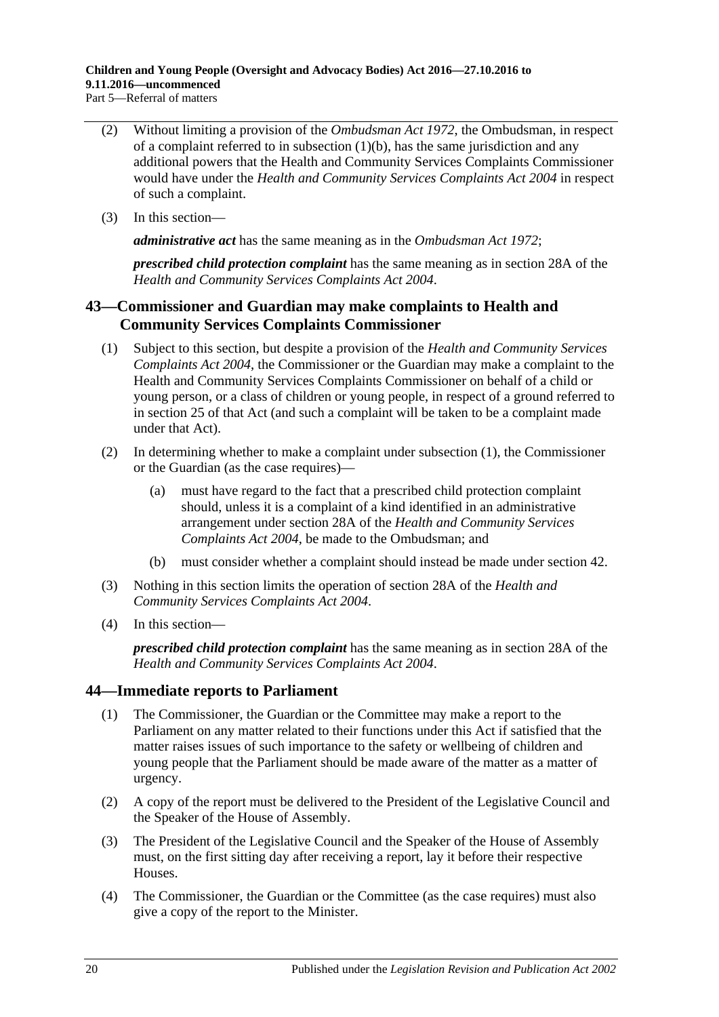**Children and Young People (Oversight and Advocacy Bodies) Act 2016—27.10.2016 to 9.11.2016—uncommenced** Part 5—Referral of matters

- (2) Without limiting a provision of the *[Ombudsman Act](http://www.legislation.sa.gov.au/index.aspx?action=legref&type=act&legtitle=Ombudsman%20Act%201972) 1972*, the Ombudsman, in respect of a complaint referred to in [subsection](#page-18-6)  $(1)(b)$ , has the same jurisdiction and any additional powers that the Health and Community Services Complaints Commissioner would have under the *[Health and Community Services Complaints Act](http://www.legislation.sa.gov.au/index.aspx?action=legref&type=act&legtitle=Health%20and%20Community%20Services%20Complaints%20Act%202004) 2004* in respect of such a complaint.
- (3) In this section—

*administrative act* has the same meaning as in the *[Ombudsman Act](http://www.legislation.sa.gov.au/index.aspx?action=legref&type=act&legtitle=Ombudsman%20Act%201972) 1972*;

*prescribed child protection complaint* has the same meaning as in section 28A of the *[Health and Community Services Complaints Act](http://www.legislation.sa.gov.au/index.aspx?action=legref&type=act&legtitle=Health%20and%20Community%20Services%20Complaints%20Act%202004) 2004*.

## <span id="page-19-0"></span>**43—Commissioner and Guardian may make complaints to Health and Community Services Complaints Commissioner**

- <span id="page-19-2"></span>(1) Subject to this section, but despite a provision of the *[Health and Community Services](http://www.legislation.sa.gov.au/index.aspx?action=legref&type=act&legtitle=Health%20and%20Community%20Services%20Complaints%20Act%202004)  [Complaints Act](http://www.legislation.sa.gov.au/index.aspx?action=legref&type=act&legtitle=Health%20and%20Community%20Services%20Complaints%20Act%202004) 2004*, the Commissioner or the Guardian may make a complaint to the Health and Community Services Complaints Commissioner on behalf of a child or young person, or a class of children or young people, in respect of a ground referred to in section 25 of that Act (and such a complaint will be taken to be a complaint made under that Act).
- (2) In determining whether to make a complaint under [subsection](#page-19-2) (1), the Commissioner or the Guardian (as the case requires)—
	- (a) must have regard to the fact that a prescribed child protection complaint should, unless it is a complaint of a kind identified in an administrative arrangement under section 28A of the *[Health and Community Services](http://www.legislation.sa.gov.au/index.aspx?action=legref&type=act&legtitle=Health%20and%20Community%20Services%20Complaints%20Act%202004)  [Complaints Act](http://www.legislation.sa.gov.au/index.aspx?action=legref&type=act&legtitle=Health%20and%20Community%20Services%20Complaints%20Act%202004) 2004*, be made to the Ombudsman; and
	- (b) must consider whether a complaint should instead be made under [section](#page-18-3) 42.
- (3) Nothing in this section limits the operation of section 28A of the *[Health and](http://www.legislation.sa.gov.au/index.aspx?action=legref&type=act&legtitle=Health%20and%20Community%20Services%20Complaints%20Act%202004)  [Community Services Complaints Act](http://www.legislation.sa.gov.au/index.aspx?action=legref&type=act&legtitle=Health%20and%20Community%20Services%20Complaints%20Act%202004) 2004*.
- (4) In this section—

*prescribed child protection complaint* has the same meaning as in section 28A of the *[Health and Community Services Complaints Act](http://www.legislation.sa.gov.au/index.aspx?action=legref&type=act&legtitle=Health%20and%20Community%20Services%20Complaints%20Act%202004) 2004*.

### <span id="page-19-1"></span>**44—Immediate reports to Parliament**

- (1) The Commissioner, the Guardian or the Committee may make a report to the Parliament on any matter related to their functions under this Act if satisfied that the matter raises issues of such importance to the safety or wellbeing of children and young people that the Parliament should be made aware of the matter as a matter of urgency.
- (2) A copy of the report must be delivered to the President of the Legislative Council and the Speaker of the House of Assembly.
- (3) The President of the Legislative Council and the Speaker of the House of Assembly must, on the first sitting day after receiving a report, lay it before their respective Houses.
- (4) The Commissioner, the Guardian or the Committee (as the case requires) must also give a copy of the report to the Minister.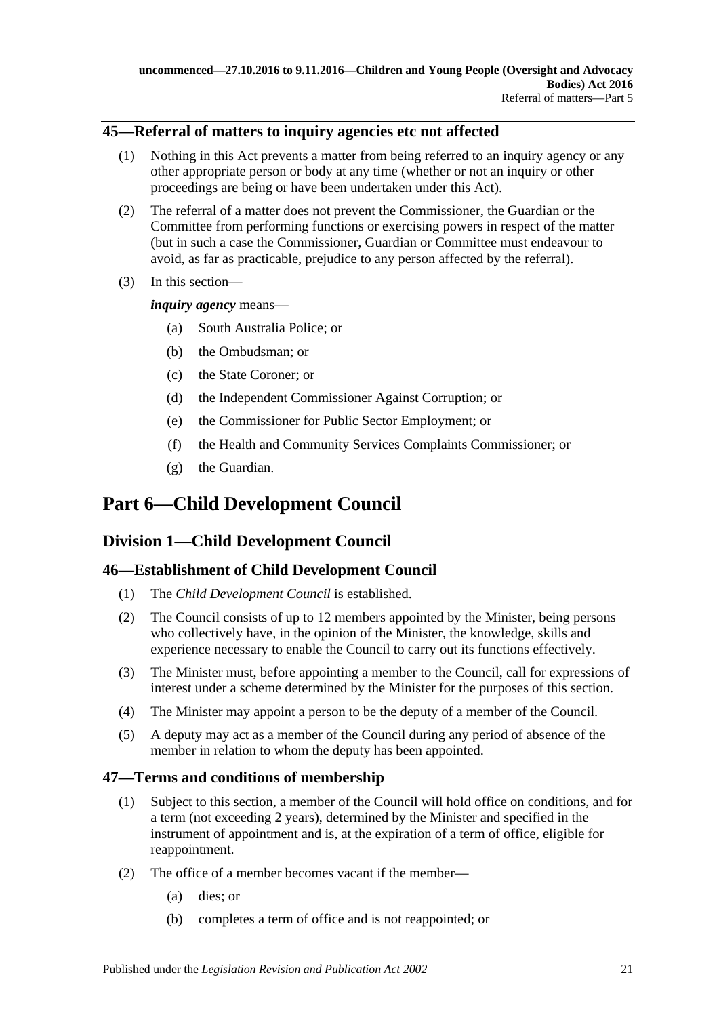### <span id="page-20-0"></span>**45—Referral of matters to inquiry agencies etc not affected**

- (1) Nothing in this Act prevents a matter from being referred to an inquiry agency or any other appropriate person or body at any time (whether or not an inquiry or other proceedings are being or have been undertaken under this Act).
- (2) The referral of a matter does not prevent the Commissioner, the Guardian or the Committee from performing functions or exercising powers in respect of the matter (but in such a case the Commissioner, Guardian or Committee must endeavour to avoid, as far as practicable, prejudice to any person affected by the referral).
- (3) In this section—

*inquiry agency* means—

- (a) South Australia Police; or
- (b) the Ombudsman; or
- (c) the State Coroner; or
- (d) the Independent Commissioner Against Corruption; or
- (e) the Commissioner for Public Sector Employment; or
- (f) the Health and Community Services Complaints Commissioner; or
- (g) the Guardian.

# <span id="page-20-1"></span>**Part 6—Child Development Council**

## <span id="page-20-2"></span>**Division 1—Child Development Council**

## <span id="page-20-3"></span>**46—Establishment of Child Development Council**

- (1) The *Child Development Council* is established.
- (2) The Council consists of up to 12 members appointed by the Minister, being persons who collectively have, in the opinion of the Minister, the knowledge, skills and experience necessary to enable the Council to carry out its functions effectively.
- (3) The Minister must, before appointing a member to the Council, call for expressions of interest under a scheme determined by the Minister for the purposes of this section.
- (4) The Minister may appoint a person to be the deputy of a member of the Council.
- (5) A deputy may act as a member of the Council during any period of absence of the member in relation to whom the deputy has been appointed.

## <span id="page-20-4"></span>**47—Terms and conditions of membership**

- (1) Subject to this section, a member of the Council will hold office on conditions, and for a term (not exceeding 2 years), determined by the Minister and specified in the instrument of appointment and is, at the expiration of a term of office, eligible for reappointment.
- (2) The office of a member becomes vacant if the member—
	- (a) dies; or
	- (b) completes a term of office and is not reappointed; or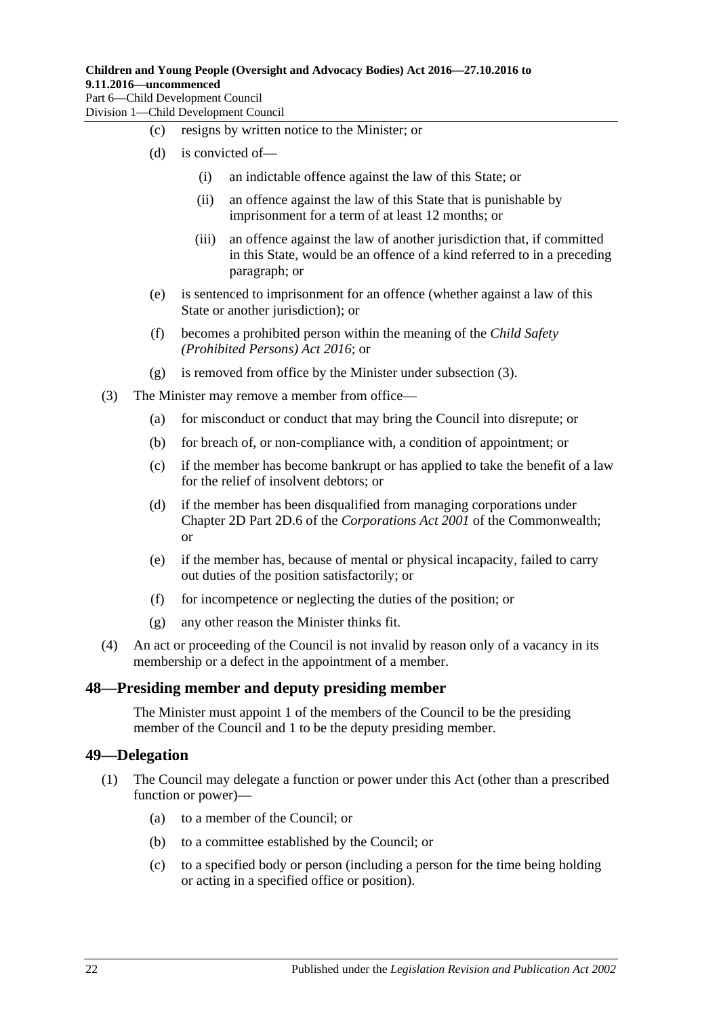#### **Children and Young People (Oversight and Advocacy Bodies) Act 2016—27.10.2016 to 9.11.2016—uncommenced** Part 6—Child Development Council

Division 1—Child Development Council

- (c) resigns by written notice to the Minister; or
- (d) is convicted of—
	- (i) an indictable offence against the law of this State; or
	- (ii) an offence against the law of this State that is punishable by imprisonment for a term of at least 12 months; or
	- (iii) an offence against the law of another jurisdiction that, if committed in this State, would be an offence of a kind referred to in a preceding paragraph; or
- (e) is sentenced to imprisonment for an offence (whether against a law of this State or another jurisdiction); or
- (f) becomes a prohibited person within the meaning of the *[Child Safety](http://www.legislation.sa.gov.au/index.aspx?action=legref&type=act&legtitle=Child%20Safety%20(Prohibited%20Persons)%20Act%202016)  [\(Prohibited Persons\) Act 2016](http://www.legislation.sa.gov.au/index.aspx?action=legref&type=act&legtitle=Child%20Safety%20(Prohibited%20Persons)%20Act%202016)*; or
- (g) is removed from office by the Minister under [subsection](#page-21-2) (3).
- <span id="page-21-2"></span>(3) The Minister may remove a member from office—
	- (a) for misconduct or conduct that may bring the Council into disrepute; or
	- (b) for breach of, or non-compliance with, a condition of appointment; or
	- (c) if the member has become bankrupt or has applied to take the benefit of a law for the relief of insolvent debtors; or
	- (d) if the member has been disqualified from managing corporations under Chapter 2D Part 2D.6 of the *Corporations Act 2001* of the Commonwealth; or
	- (e) if the member has, because of mental or physical incapacity, failed to carry out duties of the position satisfactorily; or
	- (f) for incompetence or neglecting the duties of the position; or
	- (g) any other reason the Minister thinks fit.
- (4) An act or proceeding of the Council is not invalid by reason only of a vacancy in its membership or a defect in the appointment of a member.

### <span id="page-21-0"></span>**48—Presiding member and deputy presiding member**

The Minister must appoint 1 of the members of the Council to be the presiding member of the Council and 1 to be the deputy presiding member.

### <span id="page-21-1"></span>**49—Delegation**

- (1) The Council may delegate a function or power under this Act (other than a prescribed function or power)—
	- (a) to a member of the Council; or
	- (b) to a committee established by the Council; or
	- (c) to a specified body or person (including a person for the time being holding or acting in a specified office or position).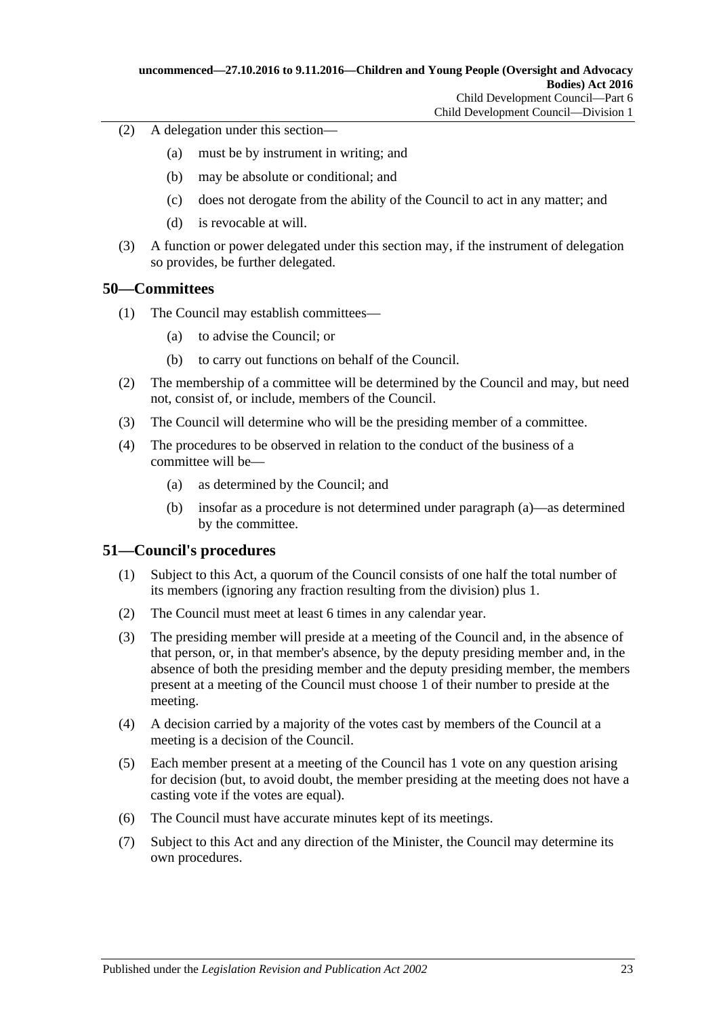- (2) A delegation under this section—
	- (a) must be by instrument in writing; and
	- (b) may be absolute or conditional; and
	- (c) does not derogate from the ability of the Council to act in any matter; and
	- (d) is revocable at will.
- (3) A function or power delegated under this section may, if the instrument of delegation so provides, be further delegated.

### <span id="page-22-0"></span>**50—Committees**

- (1) The Council may establish committees—
	- (a) to advise the Council; or
	- (b) to carry out functions on behalf of the Council.
- (2) The membership of a committee will be determined by the Council and may, but need not, consist of, or include, members of the Council.
- (3) The Council will determine who will be the presiding member of a committee.
- <span id="page-22-2"></span>(4) The procedures to be observed in relation to the conduct of the business of a committee will be—
	- (a) as determined by the Council; and
	- (b) insofar as a procedure is not determined under [paragraph](#page-22-2) (a)—as determined by the committee.

### <span id="page-22-1"></span>**51—Council's procedures**

- (1) Subject to this Act, a quorum of the Council consists of one half the total number of its members (ignoring any fraction resulting from the division) plus 1.
- (2) The Council must meet at least 6 times in any calendar year.
- (3) The presiding member will preside at a meeting of the Council and, in the absence of that person, or, in that member's absence, by the deputy presiding member and, in the absence of both the presiding member and the deputy presiding member, the members present at a meeting of the Council must choose 1 of their number to preside at the meeting.
- (4) A decision carried by a majority of the votes cast by members of the Council at a meeting is a decision of the Council.
- (5) Each member present at a meeting of the Council has 1 vote on any question arising for decision (but, to avoid doubt, the member presiding at the meeting does not have a casting vote if the votes are equal).
- (6) The Council must have accurate minutes kept of its meetings.
- (7) Subject to this Act and any direction of the Minister, the Council may determine its own procedures.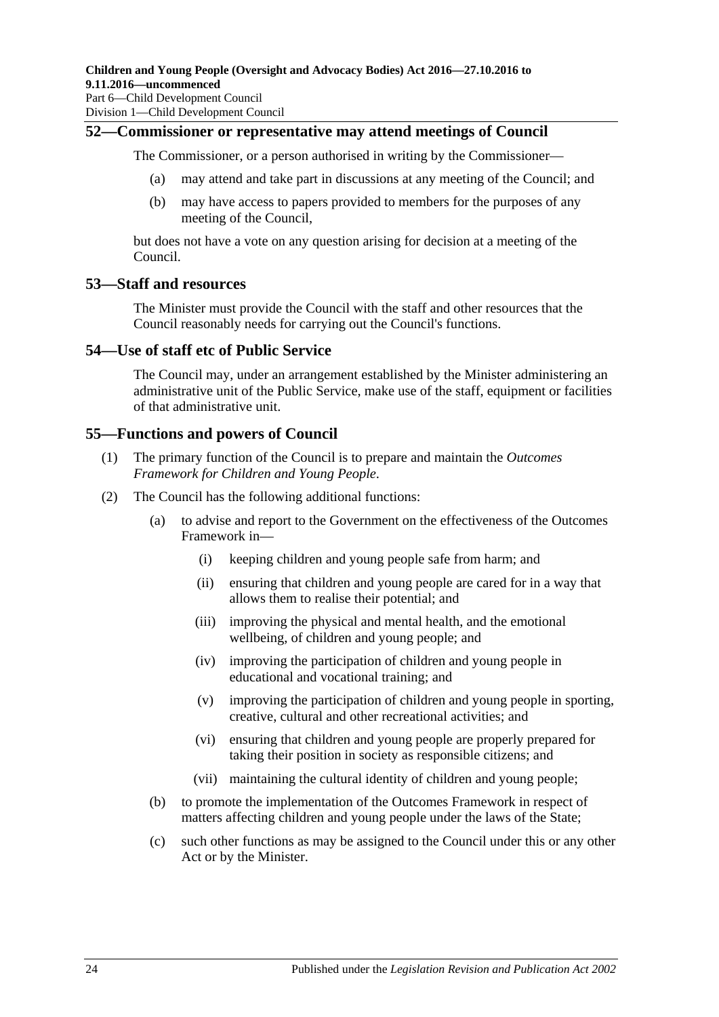### <span id="page-23-0"></span>**52—Commissioner or representative may attend meetings of Council**

The Commissioner, or a person authorised in writing by the Commissioner—

- (a) may attend and take part in discussions at any meeting of the Council; and
- (b) may have access to papers provided to members for the purposes of any meeting of the Council,

but does not have a vote on any question arising for decision at a meeting of the Council.

### <span id="page-23-1"></span>**53—Staff and resources**

The Minister must provide the Council with the staff and other resources that the Council reasonably needs for carrying out the Council's functions.

### <span id="page-23-2"></span>**54—Use of staff etc of Public Service**

The Council may, under an arrangement established by the Minister administering an administrative unit of the Public Service, make use of the staff, equipment or facilities of that administrative unit.

### <span id="page-23-3"></span>**55—Functions and powers of Council**

- (1) The primary function of the Council is to prepare and maintain the *Outcomes Framework for Children and Young People*.
- (2) The Council has the following additional functions:
	- (a) to advise and report to the Government on the effectiveness of the Outcomes Framework in—
		- (i) keeping children and young people safe from harm; and
		- (ii) ensuring that children and young people are cared for in a way that allows them to realise their potential; and
		- (iii) improving the physical and mental health, and the emotional wellbeing, of children and young people; and
		- (iv) improving the participation of children and young people in educational and vocational training; and
		- (v) improving the participation of children and young people in sporting, creative, cultural and other recreational activities; and
		- (vi) ensuring that children and young people are properly prepared for taking their position in society as responsible citizens; and
		- (vii) maintaining the cultural identity of children and young people;
	- (b) to promote the implementation of the Outcomes Framework in respect of matters affecting children and young people under the laws of the State;
	- (c) such other functions as may be assigned to the Council under this or any other Act or by the Minister.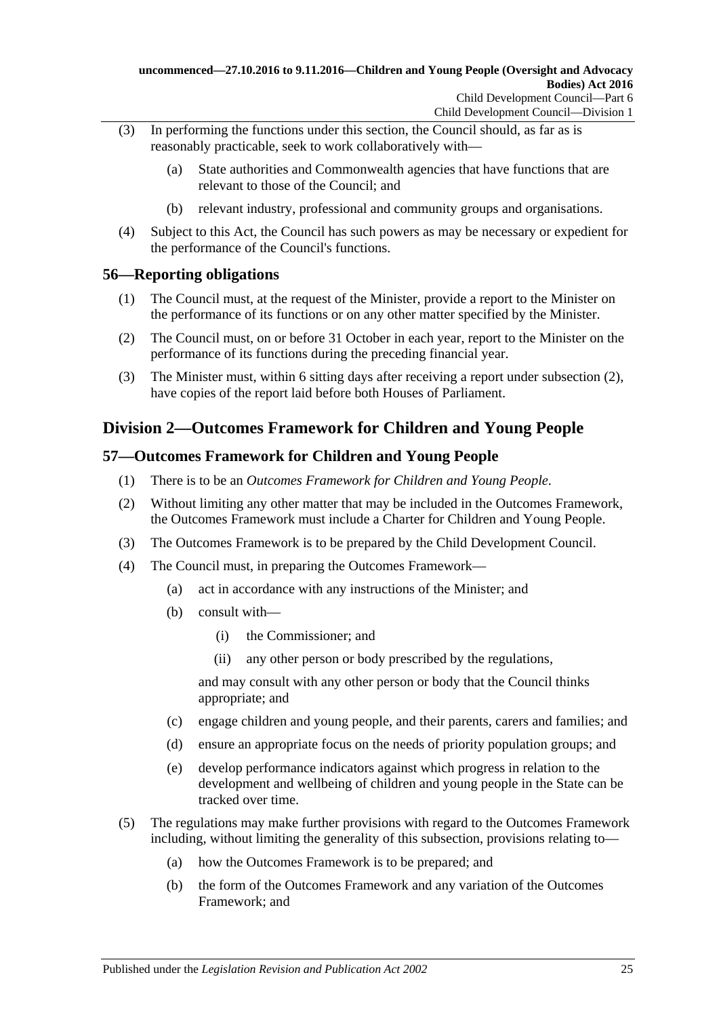- (3) In performing the functions under this section, the Council should, as far as is reasonably practicable, seek to work collaboratively with—
	- (a) State authorities and Commonwealth agencies that have functions that are relevant to those of the Council; and
	- (b) relevant industry, professional and community groups and organisations.
- (4) Subject to this Act, the Council has such powers as may be necessary or expedient for the performance of the Council's functions.

### <span id="page-24-0"></span>**56—Reporting obligations**

- (1) The Council must, at the request of the Minister, provide a report to the Minister on the performance of its functions or on any other matter specified by the Minister.
- <span id="page-24-3"></span>(2) The Council must, on or before 31 October in each year, report to the Minister on the performance of its functions during the preceding financial year.
- (3) The Minister must, within 6 sitting days after receiving a report under [subsection](#page-24-3) (2), have copies of the report laid before both Houses of Parliament.

## <span id="page-24-1"></span>**Division 2—Outcomes Framework for Children and Young People**

### <span id="page-24-2"></span>**57—Outcomes Framework for Children and Young People**

- (1) There is to be an *Outcomes Framework for Children and Young People*.
- (2) Without limiting any other matter that may be included in the Outcomes Framework, the Outcomes Framework must include a Charter for Children and Young People.
- (3) The Outcomes Framework is to be prepared by the Child Development Council.
- (4) The Council must, in preparing the Outcomes Framework—
	- (a) act in accordance with any instructions of the Minister; and
	- (b) consult with—
		- (i) the Commissioner; and
		- (ii) any other person or body prescribed by the regulations,

and may consult with any other person or body that the Council thinks appropriate; and

- (c) engage children and young people, and their parents, carers and families; and
- (d) ensure an appropriate focus on the needs of priority population groups; and
- (e) develop performance indicators against which progress in relation to the development and wellbeing of children and young people in the State can be tracked over time.
- (5) The regulations may make further provisions with regard to the Outcomes Framework including, without limiting the generality of this subsection, provisions relating to—
	- (a) how the Outcomes Framework is to be prepared; and
	- (b) the form of the Outcomes Framework and any variation of the Outcomes Framework; and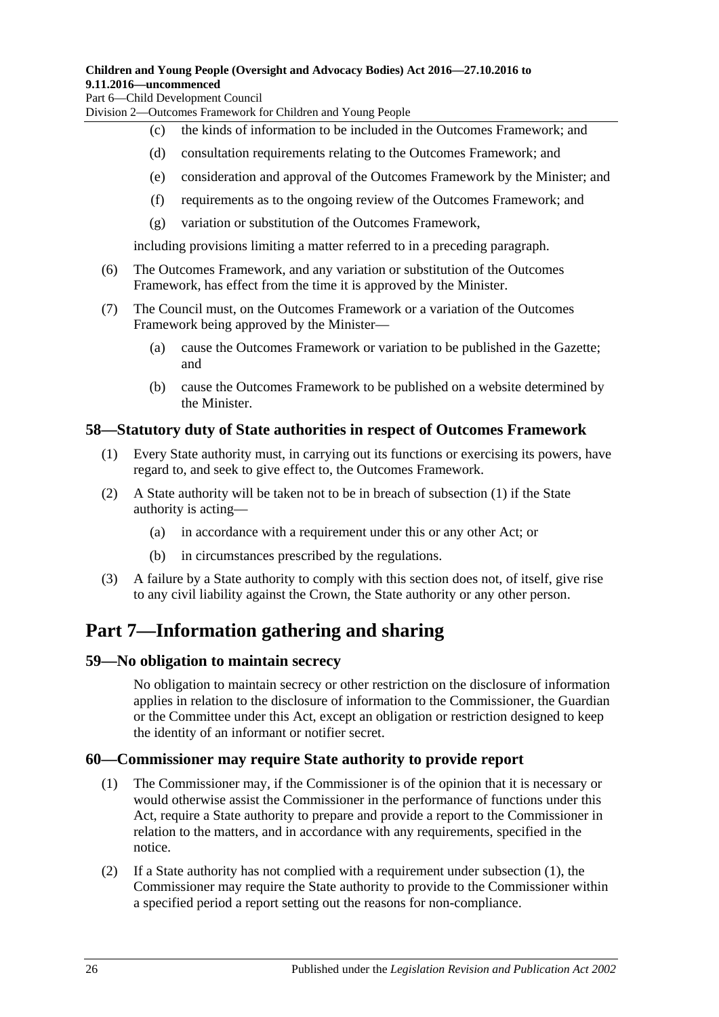### **Children and Young People (Oversight and Advocacy Bodies) Act 2016—27.10.2016 to 9.11.2016—uncommenced**

Part 6—Child Development Council

Division 2—Outcomes Framework for Children and Young People

- (c) the kinds of information to be included in the Outcomes Framework; and
- (d) consultation requirements relating to the Outcomes Framework; and
- (e) consideration and approval of the Outcomes Framework by the Minister; and
- (f) requirements as to the ongoing review of the Outcomes Framework; and
- (g) variation or substitution of the Outcomes Framework,

including provisions limiting a matter referred to in a preceding paragraph.

- (6) The Outcomes Framework, and any variation or substitution of the Outcomes Framework, has effect from the time it is approved by the Minister.
- (7) The Council must, on the Outcomes Framework or a variation of the Outcomes Framework being approved by the Minister—
	- (a) cause the Outcomes Framework or variation to be published in the Gazette; and
	- (b) cause the Outcomes Framework to be published on a website determined by the Minister.

### <span id="page-25-4"></span><span id="page-25-0"></span>**58—Statutory duty of State authorities in respect of Outcomes Framework**

- (1) Every State authority must, in carrying out its functions or exercising its powers, have regard to, and seek to give effect to, the Outcomes Framework.
- (2) A State authority will be taken not to be in breach of [subsection](#page-25-4) (1) if the State authority is acting—
	- (a) in accordance with a requirement under this or any other Act; or
	- (b) in circumstances prescribed by the regulations.
- (3) A failure by a State authority to comply with this section does not, of itself, give rise to any civil liability against the Crown, the State authority or any other person.

# <span id="page-25-1"></span>**Part 7—Information gathering and sharing**

### <span id="page-25-2"></span>**59—No obligation to maintain secrecy**

No obligation to maintain secrecy or other restriction on the disclosure of information applies in relation to the disclosure of information to the Commissioner, the Guardian or the Committee under this Act, except an obligation or restriction designed to keep the identity of an informant or notifier secret.

### <span id="page-25-5"></span><span id="page-25-3"></span>**60—Commissioner may require State authority to provide report**

- (1) The Commissioner may, if the Commissioner is of the opinion that it is necessary or would otherwise assist the Commissioner in the performance of functions under this Act, require a State authority to prepare and provide a report to the Commissioner in relation to the matters, and in accordance with any requirements, specified in the notice.
- <span id="page-25-6"></span>(2) If a State authority has not complied with a requirement under [subsection](#page-25-5) (1), the Commissioner may require the State authority to provide to the Commissioner within a specified period a report setting out the reasons for non-compliance.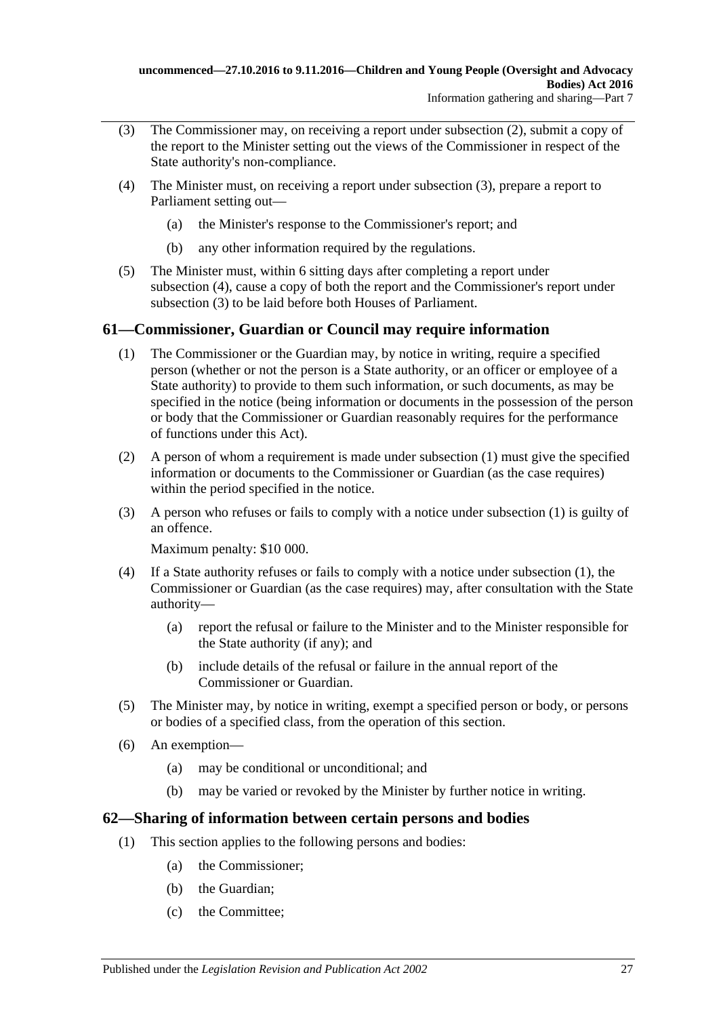- <span id="page-26-2"></span>(3) The Commissioner may, on receiving a report under [subsection](#page-25-6) (2), submit a copy of the report to the Minister setting out the views of the Commissioner in respect of the State authority's non-compliance.
- <span id="page-26-3"></span>(4) The Minister must, on receiving a report under [subsection](#page-26-2) (3), prepare a report to Parliament setting out—
	- (a) the Minister's response to the Commissioner's report; and
	- (b) any other information required by the regulations.
- (5) The Minister must, within 6 sitting days after completing a report under [subsection](#page-26-3) (4), cause a copy of both the report and the Commissioner's report under [subsection](#page-26-2) (3) to be laid before both Houses of Parliament.

## <span id="page-26-4"></span><span id="page-26-0"></span>**61—Commissioner, Guardian or Council may require information**

- (1) The Commissioner or the Guardian may, by notice in writing, require a specified person (whether or not the person is a State authority, or an officer or employee of a State authority) to provide to them such information, or such documents, as may be specified in the notice (being information or documents in the possession of the person or body that the Commissioner or Guardian reasonably requires for the performance of functions under this Act).
- (2) A person of whom a requirement is made under [subsection](#page-26-4) (1) must give the specified information or documents to the Commissioner or Guardian (as the case requires) within the period specified in the notice.
- (3) A person who refuses or fails to comply with a notice under [subsection](#page-26-4) (1) is guilty of an offence.

Maximum penalty: \$10 000.

- (4) If a State authority refuses or fails to comply with a notice under [subsection](#page-26-4) (1), the Commissioner or Guardian (as the case requires) may, after consultation with the State authority—
	- (a) report the refusal or failure to the Minister and to the Minister responsible for the State authority (if any); and
	- (b) include details of the refusal or failure in the annual report of the Commissioner or Guardian.
- (5) The Minister may, by notice in writing, exempt a specified person or body, or persons or bodies of a specified class, from the operation of this section.
- (6) An exemption—
	- (a) may be conditional or unconditional; and
	- (b) may be varied or revoked by the Minister by further notice in writing.

### <span id="page-26-1"></span>**62—Sharing of information between certain persons and bodies**

- (1) This section applies to the following persons and bodies:
	- (a) the Commissioner;
	- (b) the Guardian;
	- (c) the Committee;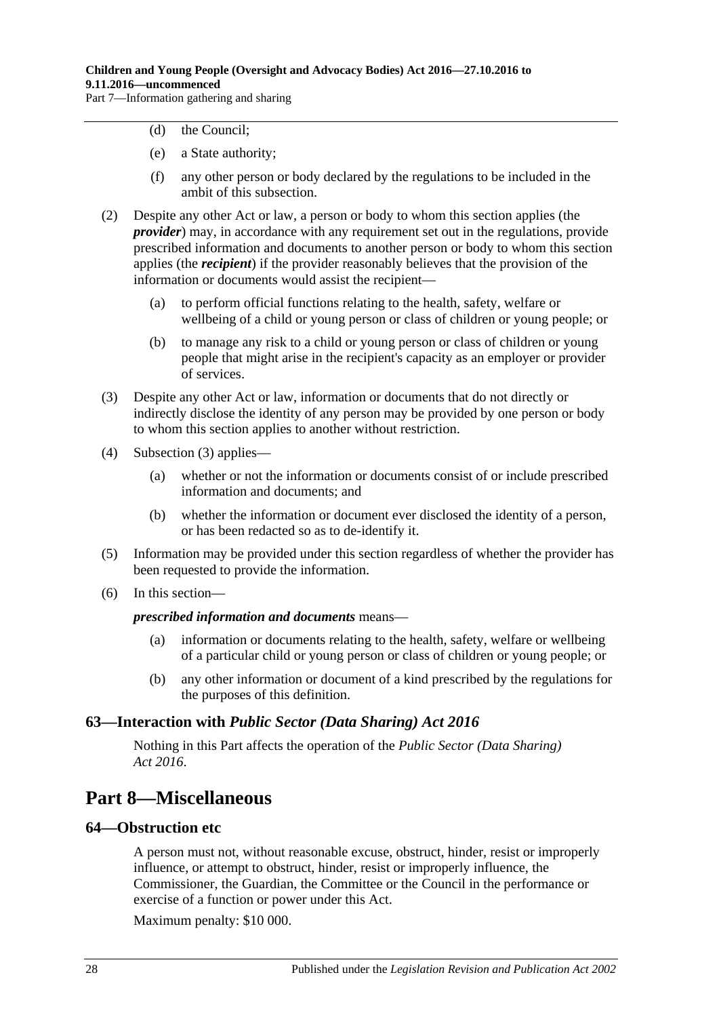Part 7—Information gathering and sharing

- (d) the Council;
- (e) a State authority;
- (f) any other person or body declared by the regulations to be included in the ambit of this subsection.
- (2) Despite any other Act or law, a person or body to whom this section applies (the *provider*) may, in accordance with any requirement set out in the regulations, provide prescribed information and documents to another person or body to whom this section applies (the *recipient*) if the provider reasonably believes that the provision of the information or documents would assist the recipient—
	- (a) to perform official functions relating to the health, safety, welfare or wellbeing of a child or young person or class of children or young people; or
	- (b) to manage any risk to a child or young person or class of children or young people that might arise in the recipient's capacity as an employer or provider of services.
- <span id="page-27-3"></span>(3) Despite any other Act or law, information or documents that do not directly or indirectly disclose the identity of any person may be provided by one person or body to whom this section applies to another without restriction.
- (4) [Subsection](#page-27-3) (3) applies—
	- (a) whether or not the information or documents consist of or include prescribed information and documents; and
	- (b) whether the information or document ever disclosed the identity of a person, or has been redacted so as to de-identify it.
- (5) Information may be provided under this section regardless of whether the provider has been requested to provide the information.
- (6) In this section—

### *prescribed information and documents* means—

- (a) information or documents relating to the health, safety, welfare or wellbeing of a particular child or young person or class of children or young people; or
- (b) any other information or document of a kind prescribed by the regulations for the purposes of this definition.

### <span id="page-27-0"></span>**63—Interaction with** *Public Sector (Data Sharing) Act 2016*

Nothing in this Part affects the operation of the *[Public Sector \(Data Sharing\)](http://www.legislation.sa.gov.au/index.aspx?action=legref&type=act&legtitle=Public%20Sector%20(Data%20Sharing)%20Act%202016)  Act [2016](http://www.legislation.sa.gov.au/index.aspx?action=legref&type=act&legtitle=Public%20Sector%20(Data%20Sharing)%20Act%202016)*.

## <span id="page-27-1"></span>**Part 8—Miscellaneous**

### <span id="page-27-2"></span>**64—Obstruction etc**

A person must not, without reasonable excuse, obstruct, hinder, resist or improperly influence, or attempt to obstruct, hinder, resist or improperly influence, the Commissioner, the Guardian, the Committee or the Council in the performance or exercise of a function or power under this Act.

Maximum penalty: \$10 000.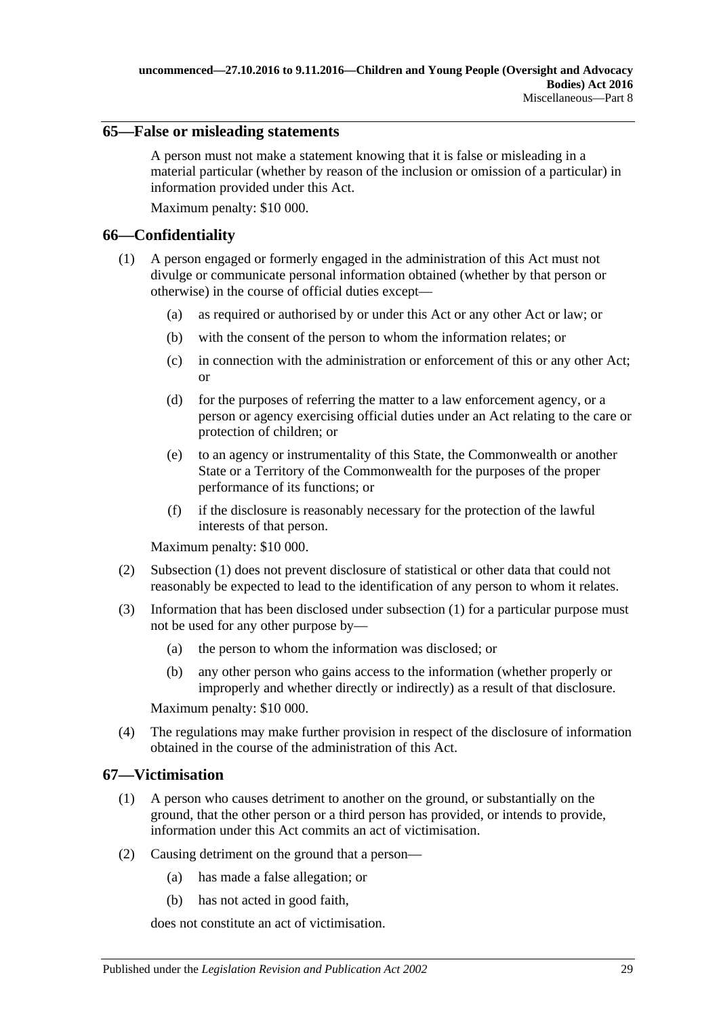### <span id="page-28-0"></span>**65—False or misleading statements**

A person must not make a statement knowing that it is false or misleading in a material particular (whether by reason of the inclusion or omission of a particular) in information provided under this Act.

Maximum penalty: \$10 000.

### <span id="page-28-3"></span><span id="page-28-1"></span>**66—Confidentiality**

- (1) A person engaged or formerly engaged in the administration of this Act must not divulge or communicate personal information obtained (whether by that person or otherwise) in the course of official duties except—
	- (a) as required or authorised by or under this Act or any other Act or law; or
	- (b) with the consent of the person to whom the information relates; or
	- (c) in connection with the administration or enforcement of this or any other Act; or
	- (d) for the purposes of referring the matter to a law enforcement agency, or a person or agency exercising official duties under an Act relating to the care or protection of children; or
	- (e) to an agency or instrumentality of this State, the Commonwealth or another State or a Territory of the Commonwealth for the purposes of the proper performance of its functions; or
	- (f) if the disclosure is reasonably necessary for the protection of the lawful interests of that person.

Maximum penalty: \$10 000.

- (2) [Subsection](#page-28-3) (1) does not prevent disclosure of statistical or other data that could not reasonably be expected to lead to the identification of any person to whom it relates.
- (3) Information that has been disclosed under [subsection](#page-28-3) (1) for a particular purpose must not be used for any other purpose by—
	- (a) the person to whom the information was disclosed; or
	- (b) any other person who gains access to the information (whether properly or improperly and whether directly or indirectly) as a result of that disclosure.

Maximum penalty: \$10 000.

(4) The regulations may make further provision in respect of the disclosure of information obtained in the course of the administration of this Act.

### <span id="page-28-2"></span>**67—Victimisation**

- (1) A person who causes detriment to another on the ground, or substantially on the ground, that the other person or a third person has provided, or intends to provide, information under this Act commits an act of victimisation.
- (2) Causing detriment on the ground that a person—
	- (a) has made a false allegation; or
	- (b) has not acted in good faith,

does not constitute an act of victimisation.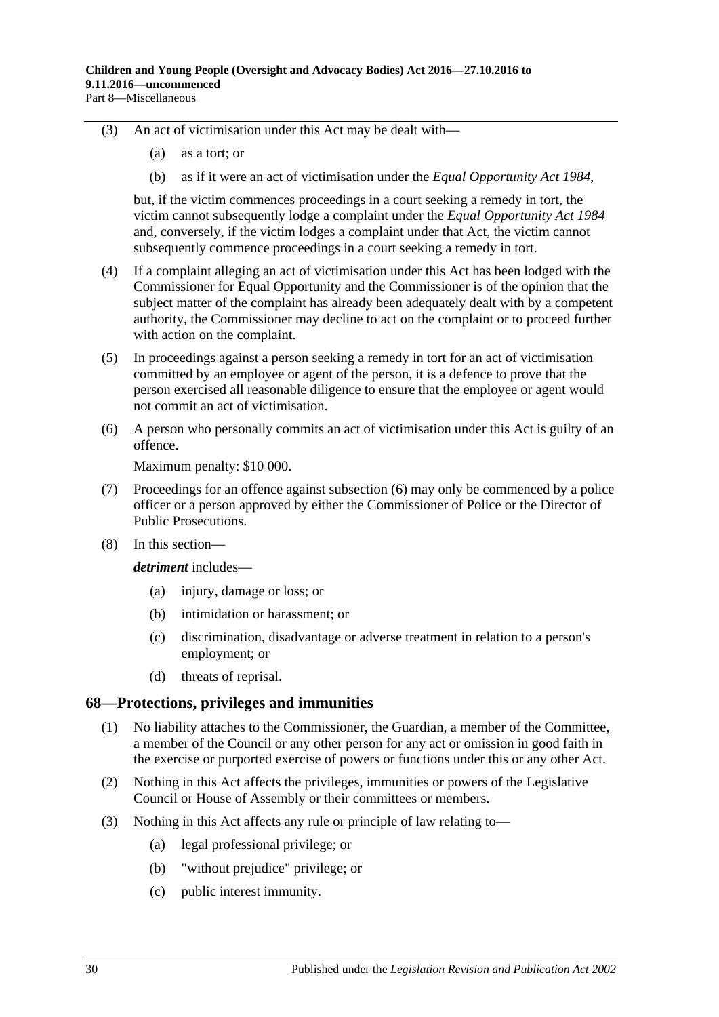- (3) An act of victimisation under this Act may be dealt with—
	- (a) as a tort; or
	- (b) as if it were an act of victimisation under the *[Equal Opportunity Act](http://www.legislation.sa.gov.au/index.aspx?action=legref&type=act&legtitle=Equal%20Opportunity%20Act%201984) 1984*,

but, if the victim commences proceedings in a court seeking a remedy in tort, the victim cannot subsequently lodge a complaint under the *[Equal Opportunity Act](http://www.legislation.sa.gov.au/index.aspx?action=legref&type=act&legtitle=Equal%20Opportunity%20Act%201984) 1984* and, conversely, if the victim lodges a complaint under that Act, the victim cannot subsequently commence proceedings in a court seeking a remedy in tort.

- (4) If a complaint alleging an act of victimisation under this Act has been lodged with the Commissioner for Equal Opportunity and the Commissioner is of the opinion that the subject matter of the complaint has already been adequately dealt with by a competent authority, the Commissioner may decline to act on the complaint or to proceed further with action on the complaint.
- (5) In proceedings against a person seeking a remedy in tort for an act of victimisation committed by an employee or agent of the person, it is a defence to prove that the person exercised all reasonable diligence to ensure that the employee or agent would not commit an act of victimisation.
- <span id="page-29-1"></span>(6) A person who personally commits an act of victimisation under this Act is guilty of an offence.

Maximum penalty: \$10 000.

- (7) Proceedings for an offence against [subsection](#page-29-1) (6) may only be commenced by a police officer or a person approved by either the Commissioner of Police or the Director of Public Prosecutions.
- (8) In this section—

*detriment* includes—

- (a) injury, damage or loss; or
- (b) intimidation or harassment; or
- (c) discrimination, disadvantage or adverse treatment in relation to a person's employment; or
- (d) threats of reprisal.

### <span id="page-29-0"></span>**68—Protections, privileges and immunities**

- (1) No liability attaches to the Commissioner, the Guardian, a member of the Committee, a member of the Council or any other person for any act or omission in good faith in the exercise or purported exercise of powers or functions under this or any other Act.
- (2) Nothing in this Act affects the privileges, immunities or powers of the Legislative Council or House of Assembly or their committees or members.
- (3) Nothing in this Act affects any rule or principle of law relating to—
	- (a) legal professional privilege; or
	- (b) "without prejudice" privilege; or
	- (c) public interest immunity.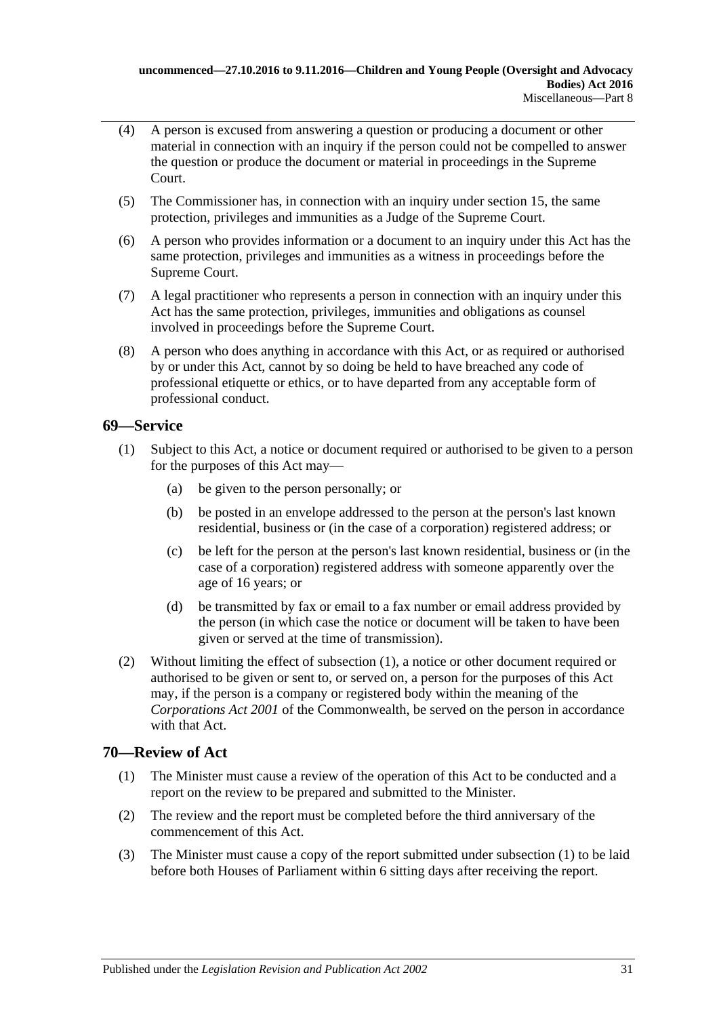- (4) A person is excused from answering a question or producing a document or other material in connection with an inquiry if the person could not be compelled to answer the question or produce the document or material in proceedings in the Supreme Court.
- (5) The Commissioner has, in connection with an inquiry under [section](#page-8-0) 15, the same protection, privileges and immunities as a Judge of the Supreme Court.
- (6) A person who provides information or a document to an inquiry under this Act has the same protection, privileges and immunities as a witness in proceedings before the Supreme Court.
- (7) A legal practitioner who represents a person in connection with an inquiry under this Act has the same protection, privileges, immunities and obligations as counsel involved in proceedings before the Supreme Court.
- (8) A person who does anything in accordance with this Act, or as required or authorised by or under this Act, cannot by so doing be held to have breached any code of professional etiquette or ethics, or to have departed from any acceptable form of professional conduct.

## <span id="page-30-2"></span><span id="page-30-0"></span>**69—Service**

- (1) Subject to this Act, a notice or document required or authorised to be given to a person for the purposes of this Act may—
	- (a) be given to the person personally; or
	- (b) be posted in an envelope addressed to the person at the person's last known residential, business or (in the case of a corporation) registered address; or
	- (c) be left for the person at the person's last known residential, business or (in the case of a corporation) registered address with someone apparently over the age of 16 years; or
	- (d) be transmitted by fax or email to a fax number or email address provided by the person (in which case the notice or document will be taken to have been given or served at the time of transmission).
- (2) Without limiting the effect of [subsection](#page-30-2) (1), a notice or other document required or authorised to be given or sent to, or served on, a person for the purposes of this Act may, if the person is a company or registered body within the meaning of the *Corporations Act 2001* of the Commonwealth, be served on the person in accordance with that Act.

## <span id="page-30-3"></span><span id="page-30-1"></span>**70—Review of Act**

- (1) The Minister must cause a review of the operation of this Act to be conducted and a report on the review to be prepared and submitted to the Minister.
- (2) The review and the report must be completed before the third anniversary of the commencement of this Act.
- (3) The Minister must cause a copy of the report submitted under [subsection](#page-30-3) (1) to be laid before both Houses of Parliament within 6 sitting days after receiving the report.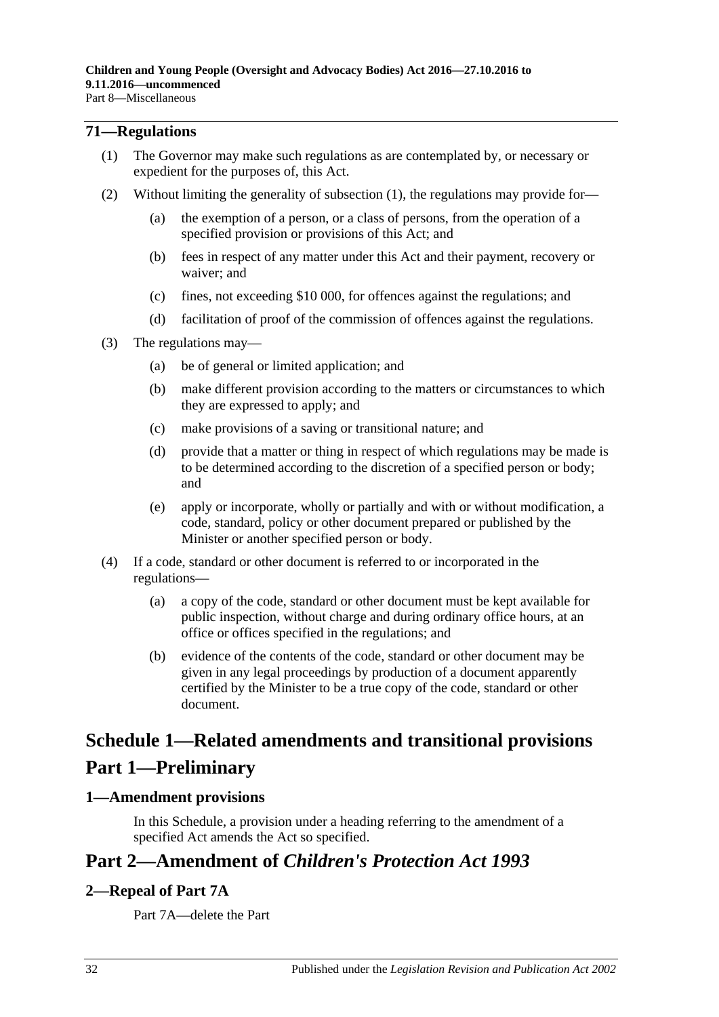### <span id="page-31-4"></span><span id="page-31-0"></span>**71—Regulations**

- (1) The Governor may make such regulations as are contemplated by, or necessary or expedient for the purposes of, this Act.
- (2) Without limiting the generality of [subsection](#page-31-4) (1), the regulations may provide for—
	- (a) the exemption of a person, or a class of persons, from the operation of a specified provision or provisions of this Act; and
	- (b) fees in respect of any matter under this Act and their payment, recovery or waiver; and
	- (c) fines, not exceeding \$10 000, for offences against the regulations; and
	- (d) facilitation of proof of the commission of offences against the regulations.
- (3) The regulations may—
	- (a) be of general or limited application; and
	- (b) make different provision according to the matters or circumstances to which they are expressed to apply; and
	- (c) make provisions of a saving or transitional nature; and
	- (d) provide that a matter or thing in respect of which regulations may be made is to be determined according to the discretion of a specified person or body; and
	- (e) apply or incorporate, wholly or partially and with or without modification, a code, standard, policy or other document prepared or published by the Minister or another specified person or body.
- (4) If a code, standard or other document is referred to or incorporated in the regulations—
	- (a) a copy of the code, standard or other document must be kept available for public inspection, without charge and during ordinary office hours, at an office or offices specified in the regulations; and
	- (b) evidence of the contents of the code, standard or other document may be given in any legal proceedings by production of a document apparently certified by the Minister to be a true copy of the code, standard or other document.

# <span id="page-31-1"></span>**Schedule 1—Related amendments and transitional provisions Part 1—Preliminary**

### <span id="page-31-2"></span>**1—Amendment provisions**

In this Schedule, a provision under a heading referring to the amendment of a specified Act amends the Act so specified.

## **Part 2—Amendment of** *Children's Protection Act 1993*

### <span id="page-31-3"></span>**2—Repeal of Part 7A**

Part 7A—delete the Part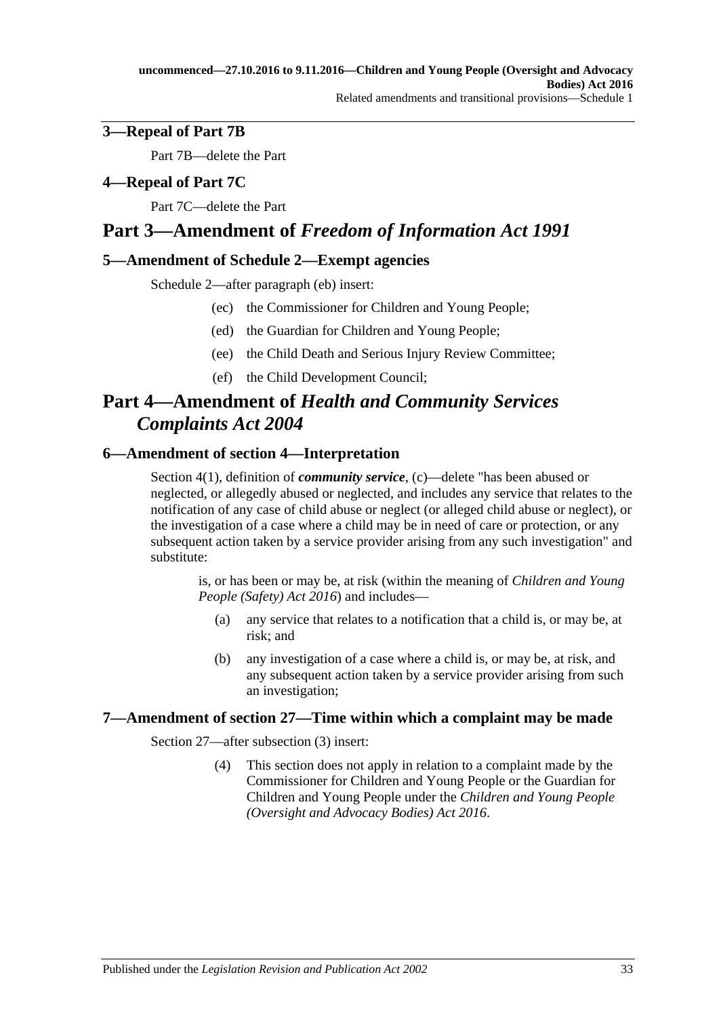## <span id="page-32-0"></span>**3—Repeal of Part 7B**

Part 7B—delete the Part

## <span id="page-32-1"></span>**4—Repeal of Part 7C**

Part 7C—delete the Part

## **Part 3—Amendment of** *Freedom of Information Act 1991*

### <span id="page-32-2"></span>**5—Amendment of Schedule 2—Exempt agencies**

Schedule 2—after paragraph (eb) insert:

- (ec) the Commissioner for Children and Young People;
- (ed) the Guardian for Children and Young People;
- (ee) the Child Death and Serious Injury Review Committee;
- (ef) the Child Development Council;

# **Part 4—Amendment of** *Health and Community Services Complaints Act 2004*

## <span id="page-32-3"></span>**6—Amendment of section 4—Interpretation**

Section 4(1), definition of *community service*, (c)—delete "has been abused or neglected, or allegedly abused or neglected, and includes any service that relates to the notification of any case of child abuse or neglect (or alleged child abuse or neglect), or the investigation of a case where a child may be in need of care or protection, or any subsequent action taken by a service provider arising from any such investigation" and substitute:

is, or has been or may be, at risk (within the meaning of *[Children and Young](http://www.legislation.sa.gov.au/index.aspx?action=legref&type=act&legtitle=Children%20and%20Young%20People%20(Safety)%20Act%202016)  [People \(Safety\) Act 2016](http://www.legislation.sa.gov.au/index.aspx?action=legref&type=act&legtitle=Children%20and%20Young%20People%20(Safety)%20Act%202016)*) and includes—

- (a) any service that relates to a notification that a child is, or may be, at risk; and
- (b) any investigation of a case where a child is, or may be, at risk, and any subsequent action taken by a service provider arising from such an investigation;

### <span id="page-32-4"></span>**7—Amendment of section 27—Time within which a complaint may be made**

Section 27—after subsection (3) insert:

(4) This section does not apply in relation to a complaint made by the Commissioner for Children and Young People or the Guardian for Children and Young People under the *[Children and Young People](http://www.legislation.sa.gov.au/index.aspx?action=legref&type=act&legtitle=Children%20and%20Young%20People%20(Oversight%20and%20Advocacy%20Bodies)%20Act%202016)  [\(Oversight and Advocacy Bodies\) Act 2016](http://www.legislation.sa.gov.au/index.aspx?action=legref&type=act&legtitle=Children%20and%20Young%20People%20(Oversight%20and%20Advocacy%20Bodies)%20Act%202016)*.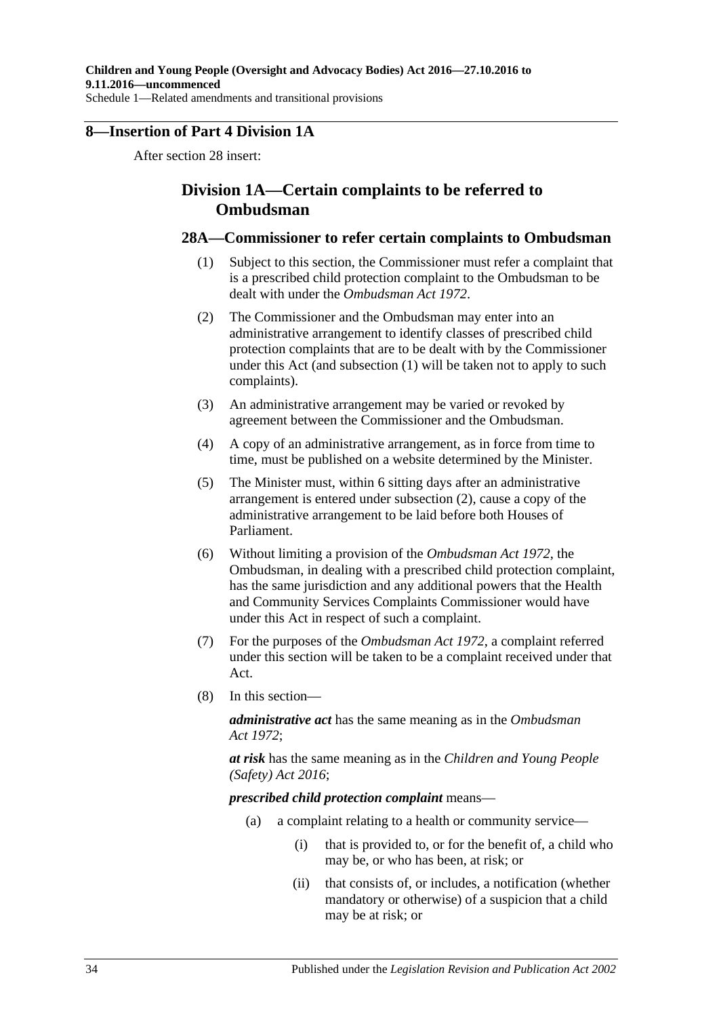## <span id="page-33-0"></span>**8—Insertion of Part 4 Division 1A**

After section 28 insert:

## **Division 1A—Certain complaints to be referred to Ombudsman**

### <span id="page-33-1"></span>**28A—Commissioner to refer certain complaints to Ombudsman**

- (1) Subject to this section, the Commissioner must refer a complaint that is a prescribed child protection complaint to the Ombudsman to be dealt with under the *[Ombudsman Act](http://www.legislation.sa.gov.au/index.aspx?action=legref&type=act&legtitle=Ombudsman%20Act%201972) 1972*.
- <span id="page-33-2"></span>(2) The Commissioner and the Ombudsman may enter into an administrative arrangement to identify classes of prescribed child protection complaints that are to be dealt with by the Commissioner under this Act (and [subsection](#page-33-1) (1) will be taken not to apply to such complaints).
- (3) An administrative arrangement may be varied or revoked by agreement between the Commissioner and the Ombudsman.
- (4) A copy of an administrative arrangement, as in force from time to time, must be published on a website determined by the Minister.
- (5) The Minister must, within 6 sitting days after an administrative arrangement is entered under [subsection](#page-33-2) (2), cause a copy of the administrative arrangement to be laid before both Houses of Parliament.
- (6) Without limiting a provision of the *[Ombudsman Act](http://www.legislation.sa.gov.au/index.aspx?action=legref&type=act&legtitle=Ombudsman%20Act%201972) 1972*, the Ombudsman, in dealing with a prescribed child protection complaint, has the same jurisdiction and any additional powers that the Health and Community Services Complaints Commissioner would have under this Act in respect of such a complaint.
- (7) For the purposes of the *[Ombudsman Act](http://www.legislation.sa.gov.au/index.aspx?action=legref&type=act&legtitle=Ombudsman%20Act%201972) 1972*, a complaint referred under this section will be taken to be a complaint received under that Act.
- (8) In this section—

*administrative act* has the same meaning as in the *[Ombudsman](http://www.legislation.sa.gov.au/index.aspx?action=legref&type=act&legtitle=Ombudsman%20Act%201972)  Act [1972](http://www.legislation.sa.gov.au/index.aspx?action=legref&type=act&legtitle=Ombudsman%20Act%201972)*;

*at risk* has the same meaning as in the *[Children and Young People](http://www.legislation.sa.gov.au/index.aspx?action=legref&type=act&legtitle=Children%20and%20Young%20People%20(Safety)%20Act%202016)  [\(Safety\) Act 2016](http://www.legislation.sa.gov.au/index.aspx?action=legref&type=act&legtitle=Children%20and%20Young%20People%20(Safety)%20Act%202016)*;

*prescribed child protection complaint* means—

- (a) a complaint relating to a health or community service—
	- (i) that is provided to, or for the benefit of, a child who may be, or who has been, at risk; or
	- (ii) that consists of, or includes, a notification (whether mandatory or otherwise) of a suspicion that a child may be at risk; or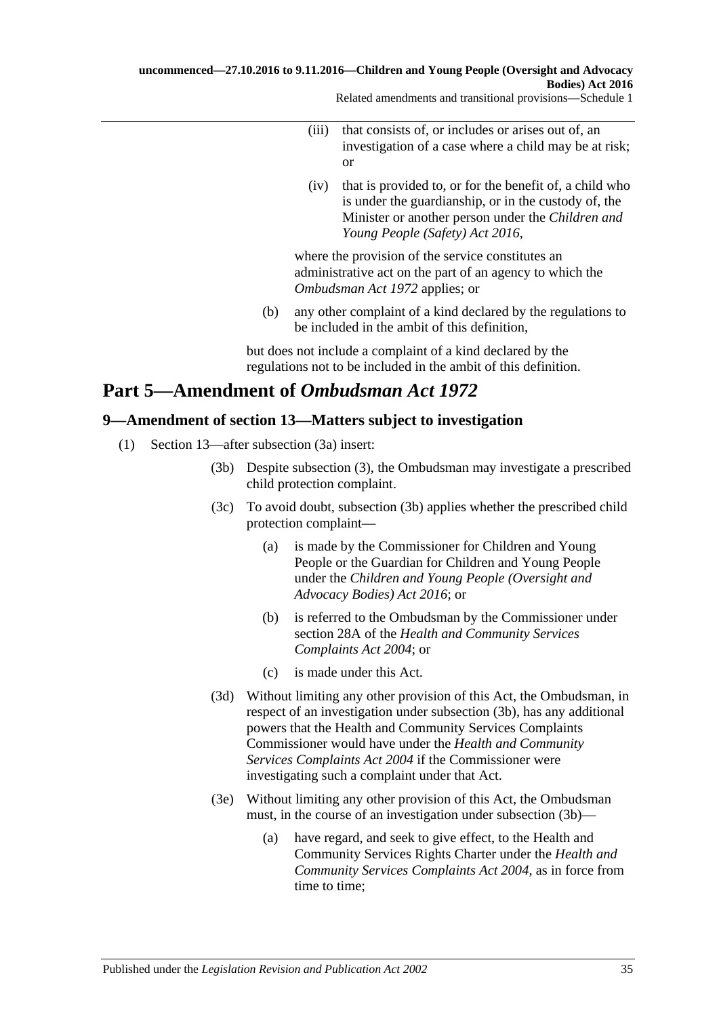Related amendments and transitional provisions—Schedule 1

- (iii) that consists of, or includes or arises out of, an investigation of a case where a child may be at risk; or
- (iv) that is provided to, or for the benefit of, a child who is under the guardianship, or in the custody of, the Minister or another person under the *[Children and](http://www.legislation.sa.gov.au/index.aspx?action=legref&type=act&legtitle=Children%20and%20Young%20People%20(Safety)%20Act%202016)  [Young People \(Safety\) Act](http://www.legislation.sa.gov.au/index.aspx?action=legref&type=act&legtitle=Children%20and%20Young%20People%20(Safety)%20Act%202016) 2016*,

where the provision of the service constitutes an administrative act on the part of an agency to which the *[Ombudsman Act](http://www.legislation.sa.gov.au/index.aspx?action=legref&type=act&legtitle=Ombudsman%20Act%201972) 1972* applies; or

(b) any other complaint of a kind declared by the regulations to be included in the ambit of this definition,

but does not include a complaint of a kind declared by the regulations not to be included in the ambit of this definition.

# **Part 5—Amendment of** *Ombudsman Act 1972*

## <span id="page-34-0"></span>**9—Amendment of section 13—Matters subject to investigation**

- <span id="page-34-1"></span>(1) Section 13—after subsection (3a) insert:
	- (3b) Despite subsection (3), the Ombudsman may investigate a prescribed child protection complaint.
	- (3c) To avoid doubt, [subsection](#page-34-1) (3b) applies whether the prescribed child protection complaint—
		- (a) is made by the Commissioner for Children and Young People or the Guardian for Children and Young People under the *[Children and Young People \(Oversight and](http://www.legislation.sa.gov.au/index.aspx?action=legref&type=act&legtitle=Children%20and%20Young%20People%20(Oversight%20and%20Advocacy%20Bodies)%20Act%202016)  [Advocacy Bodies\) Act](http://www.legislation.sa.gov.au/index.aspx?action=legref&type=act&legtitle=Children%20and%20Young%20People%20(Oversight%20and%20Advocacy%20Bodies)%20Act%202016) 2016*; or
		- (b) is referred to the Ombudsman by the Commissioner under section 28A of the *[Health and Community Services](http://www.legislation.sa.gov.au/index.aspx?action=legref&type=act&legtitle=Health%20and%20Community%20Services%20Complaints%20Act%202004)  [Complaints Act](http://www.legislation.sa.gov.au/index.aspx?action=legref&type=act&legtitle=Health%20and%20Community%20Services%20Complaints%20Act%202004) 2004*; or
		- (c) is made under this Act.
	- (3d) Without limiting any other provision of this Act, the Ombudsman, in respect of an investigation under [subsection](#page-34-1) (3b), has any additional powers that the Health and Community Services Complaints Commissioner would have under the *[Health and Community](http://www.legislation.sa.gov.au/index.aspx?action=legref&type=act&legtitle=Health%20and%20Community%20Services%20Complaints%20Act%202004)  [Services Complaints Act](http://www.legislation.sa.gov.au/index.aspx?action=legref&type=act&legtitle=Health%20and%20Community%20Services%20Complaints%20Act%202004) 2004* if the Commissioner were investigating such a complaint under that Act.
	- (3e) Without limiting any other provision of this Act, the Ombudsman must, in the course of an investigation under [subsection](#page-34-1) (3b)—
		- (a) have regard, and seek to give effect, to the Health and Community Services Rights Charter under the *[Health and](http://www.legislation.sa.gov.au/index.aspx?action=legref&type=act&legtitle=Health%20and%20Community%20Services%20Complaints%20Act%202004)  [Community Services Complaints Act](http://www.legislation.sa.gov.au/index.aspx?action=legref&type=act&legtitle=Health%20and%20Community%20Services%20Complaints%20Act%202004) 2004*, as in force from time to time;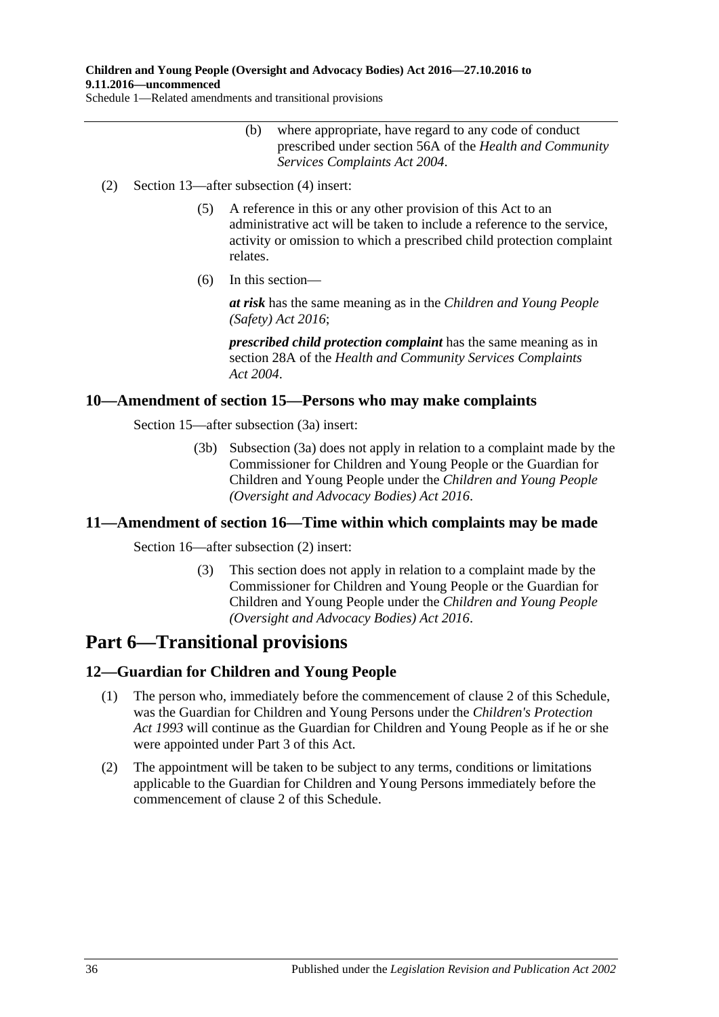### **Children and Young People (Oversight and Advocacy Bodies) Act 2016—27.10.2016 to 9.11.2016—uncommenced**

Schedule 1—Related amendments and transitional provisions

- (b) where appropriate, have regard to any code of conduct prescribed under section 56A of the *[Health and Community](http://www.legislation.sa.gov.au/index.aspx?action=legref&type=act&legtitle=Health%20and%20Community%20Services%20Complaints%20Act%202004)  [Services Complaints Act](http://www.legislation.sa.gov.au/index.aspx?action=legref&type=act&legtitle=Health%20and%20Community%20Services%20Complaints%20Act%202004) 2004*.
- (2) Section 13—after subsection (4) insert:
	- (5) A reference in this or any other provision of this Act to an administrative act will be taken to include a reference to the service, activity or omission to which a prescribed child protection complaint relates.
	- (6) In this section—

*at risk* has the same meaning as in the *[Children and Young People](http://www.legislation.sa.gov.au/index.aspx?action=legref&type=act&legtitle=Children%20and%20Young%20People%20(Safety)%20Act%202016)  [\(Safety\) Act 2016](http://www.legislation.sa.gov.au/index.aspx?action=legref&type=act&legtitle=Children%20and%20Young%20People%20(Safety)%20Act%202016)*;

*prescribed child protection complaint* has the same meaning as in section 28A of the *[Health and Community Services Complaints](http://www.legislation.sa.gov.au/index.aspx?action=legref&type=act&legtitle=Health%20and%20Community%20Services%20Complaints%20Act%202004)  Act [2004](http://www.legislation.sa.gov.au/index.aspx?action=legref&type=act&legtitle=Health%20and%20Community%20Services%20Complaints%20Act%202004)*.

### <span id="page-35-0"></span>**10—Amendment of section 15—Persons who may make complaints**

Section 15—after subsection (3a) insert:

(3b) Subsection (3a) does not apply in relation to a complaint made by the Commissioner for Children and Young People or the Guardian for Children and Young People under the *[Children and Young People](http://www.legislation.sa.gov.au/index.aspx?action=legref&type=act&legtitle=Children%20and%20Young%20People%20(Oversight%20and%20Advocacy%20Bodies)%20Act%202016)  [\(Oversight and Advocacy Bodies\) Act 2016](http://www.legislation.sa.gov.au/index.aspx?action=legref&type=act&legtitle=Children%20and%20Young%20People%20(Oversight%20and%20Advocacy%20Bodies)%20Act%202016)*.

### <span id="page-35-1"></span>**11—Amendment of section 16—Time within which complaints may be made**

Section 16—after subsection (2) insert:

(3) This section does not apply in relation to a complaint made by the Commissioner for Children and Young People or the Guardian for Children and Young People under the *[Children and Young People](http://www.legislation.sa.gov.au/index.aspx?action=legref&type=act&legtitle=Children%20and%20Young%20People%20(Oversight%20and%20Advocacy%20Bodies)%20Act%202016)  [\(Oversight and Advocacy Bodies\) Act 2016](http://www.legislation.sa.gov.au/index.aspx?action=legref&type=act&legtitle=Children%20and%20Young%20People%20(Oversight%20and%20Advocacy%20Bodies)%20Act%202016)*.

# **Part 6—Transitional provisions**

### <span id="page-35-2"></span>**12—Guardian for Children and Young People**

- (1) The person who, immediately before the commencement of [clause](#page-31-3) 2 of this Schedule, was the Guardian for Children and Young Persons under the *[Children's Protection](http://www.legislation.sa.gov.au/index.aspx?action=legref&type=act&legtitle=Childrens%20Protection%20Act%201993)  Act [1993](http://www.legislation.sa.gov.au/index.aspx?action=legref&type=act&legtitle=Childrens%20Protection%20Act%201993)* will continue as the Guardian for Children and Young People as if he or she were appointed under [Part](#page-11-1) 3 of this Act.
- (2) The appointment will be taken to be subject to any terms, conditions or limitations applicable to the Guardian for Children and Young Persons immediately before the commencement of [clause](#page-31-3) 2 of this Schedule.